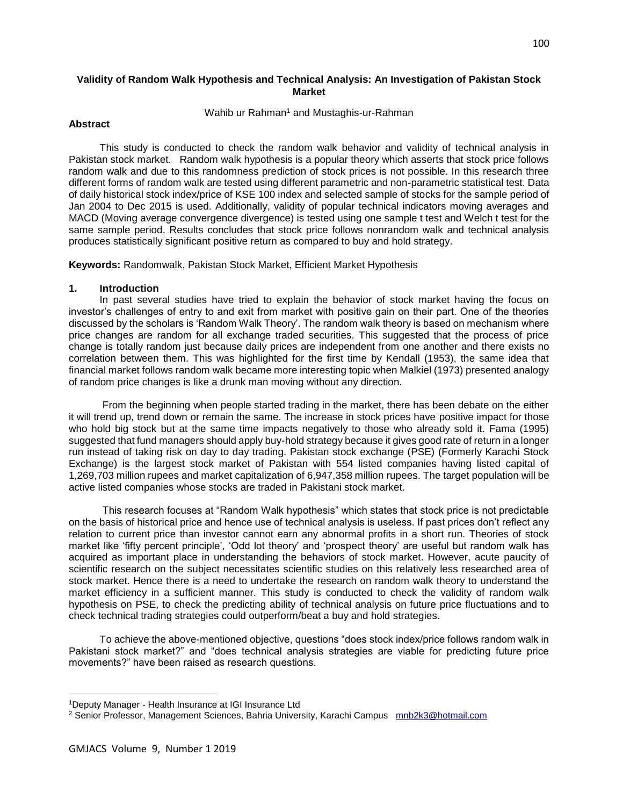## **Validity of Random Walk Hypothesis and Technical Analysis: An Investigation of Pakistan Stock Market**

## Wahib ur Rahman<sup>1</sup> and Mustaghis-ur-Rahman

## **Abstract**

 This study is conducted to check the random walk behavior and validity of technical analysis in Pakistan stock market. Random walk hypothesis is a popular theory which asserts that stock price follows random walk and due to this randomness prediction of stock prices is not possible. In this research three different forms of random walk are tested using different parametric and non-parametric statistical test. Data of daily historical stock index/price of KSE 100 index and selected sample of stocks for the sample period of Jan 2004 to Dec 2015 is used. Additionally, validity of popular technical indicators moving averages and MACD (Moving average convergence divergence) is tested using one sample t test and Welch t test for the same sample period. Results concludes that stock price follows nonrandom walk and technical analysis produces statistically significant positive return as compared to buy and hold strategy.

**Keywords:** Randomwalk, Pakistan Stock Market, Efficient Market Hypothesis

#### **1. Introduction**

 In past several studies have tried to explain the behavior of stock market having the focus on investor's challenges of entry to and exit from market with positive gain on their part. One of the theories discussed by the scholars is 'Random Walk Theory'. The random walk theory is based on mechanism where price changes are random for all exchange traded securities. This suggested that the process of price change is totally random just because daily prices are independent from one another and there exists no correlation between them. This was highlighted for the first time by Kendall (1953), the same idea that financial market follows random walk became more interesting topic when Malkiel (1973) presented analogy of random price changes is like a drunk man moving without any direction.

 From the beginning when people started trading in the market, there has been debate on the either it will trend up, trend down or remain the same. The increase in stock prices have positive impact for those who hold big stock but at the same time impacts negatively to those who already sold it. Fama (1995) suggested that fund managers should apply buy-hold strategy because it gives good rate of return in a longer run instead of taking risk on day to day trading. Pakistan stock exchange (PSE) (Formerly Karachi Stock Exchange) is the largest stock market of Pakistan with 554 listed companies having listed capital of 1,269,703 million rupees and market capitalization of 6,947,358 million rupees. The target population will be active listed companies whose stocks are traded in Pakistani stock market.

 This research focuses at "Random Walk hypothesis" which states that stock price is not predictable on the basis of historical price and hence use of technical analysis is useless. If past prices don't reflect any relation to current price than investor cannot earn any abnormal profits in a short run. Theories of stock market like 'fifty percent principle', 'Odd lot theory' and 'prospect theory' are useful but random walk has acquired as important place in understanding the behaviors of stock market. However, acute paucity of scientific research on the subject necessitates scientific studies on this relatively less researched area of stock market. Hence there is a need to undertake the research on random walk theory to understand the market efficiency in a sufficient manner. This study is conducted to check the validity of random walk hypothesis on PSE, to check the predicting ability of technical analysis on future price fluctuations and to check technical trading strategies could outperform/beat a buy and hold strategies.

 To achieve the above-mentioned objective, questions "does stock index/price follows random walk in Pakistani stock market?" and "does technical analysis strategies are viable for predicting future price movements?" have been raised as research questions.

 $\overline{\phantom{a}}$ 

<sup>1</sup>Deputy Manager - Health Insurance at IGI Insurance Ltd

<sup>&</sup>lt;sup>2</sup> Senior Professor, Management Sciences, Bahria University, Karachi Campus mnb2k3@hotmail.com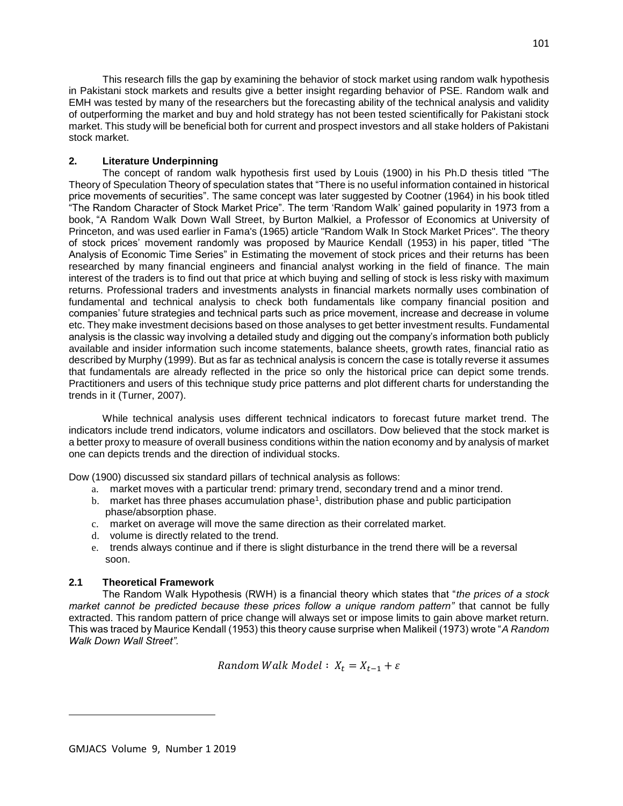This research fills the gap by examining the behavior of stock market using random walk hypothesis in Pakistani stock markets and results give a better insight regarding behavior of PSE. Random walk and EMH was tested by many of the researchers but the forecasting ability of the technical analysis and validity of outperforming the market and buy and hold strategy has not been tested scientifically for Pakistani stock market. This study will be beneficial both for current and prospect investors and all stake holders of Pakistani stock market.

## **2. Literature Underpinning**

 The concept of random walk hypothesis first used by Louis (1900) in his Ph.D thesis titled "The Theory of Speculation Theory of speculation states that "There is no useful information contained in historical price movements of securities". The same concept was later suggested by Cootner (1964) in his book titled "The Random Character of Stock Market Price". The term 'Random Walk' gained popularity in 1973 from a book, "A Random Walk Down Wall Street, by Burton Malkiel, a Professor of Economics at University of Princeton, and was used earlier in Fama's (1965) article "Random Walk In Stock Market Prices". The theory of stock prices' movement randomly was proposed by Maurice Kendall (1953) in his paper, titled "The Analysis of Economic Time Series" in Estimating the movement of stock prices and their returns has been researched by many financial engineers and financial analyst working in the field of finance. The main interest of the traders is to find out that price at which buying and selling of stock is less risky with maximum returns. Professional traders and investments analysts in financial markets normally uses combination of fundamental and technical analysis to check both fundamentals like company financial position and companies' future strategies and technical parts such as price movement, increase and decrease in volume etc. They make investment decisions based on those analyses to get better investment results. Fundamental analysis is the classic way involving a detailed study and digging out the company's information both publicly available and insider information such income statements, balance sheets, growth rates, financial ratio as described by Murphy (1999). But as far as technical analysis is concern the case is totally reverse it assumes that fundamentals are already reflected in the price so only the historical price can depict some trends. Practitioners and users of this technique study price patterns and plot different charts for understanding the trends in it (Turner, 2007).

 While technical analysis uses different technical indicators to forecast future market trend. The indicators include trend indicators, volume indicators and oscillators. Dow believed that the stock market is a better proxy to measure of overall business conditions within the nation economy and by analysis of market one can depicts trends and the direction of individual stocks.

Dow (1900) discussed six standard pillars of technical analysis as follows:

- a. market moves with a particular trend: primary trend, secondary trend and a minor trend.
- b. market has three phases accumulation phase<sup>1</sup>, distribution phase and public participation phase/absorption phase.
- c. market on average will move the same direction as their correlated market.
- d. volume is directly related to the trend.
- e. trends always continue and if there is slight disturbance in the trend there will be a reversal soon.

# **2.1 Theoretical Framework**

 The Random Walk Hypothesis (RWH) is a financial theory which states that "*the prices of a stock market cannot be predicted because these prices follow a unique random pattern"* that cannot be fully extracted. This random pattern of price change will always set or impose limits to gain above market return. This was traced by Maurice Kendall (1953) this theory cause surprise when Malikeil (1973) wrote "*A Random Walk Down Wall Street".*

Random Walk Model :  $X_t = X_{t-1} + \varepsilon$ 

 $\overline{\phantom{a}}$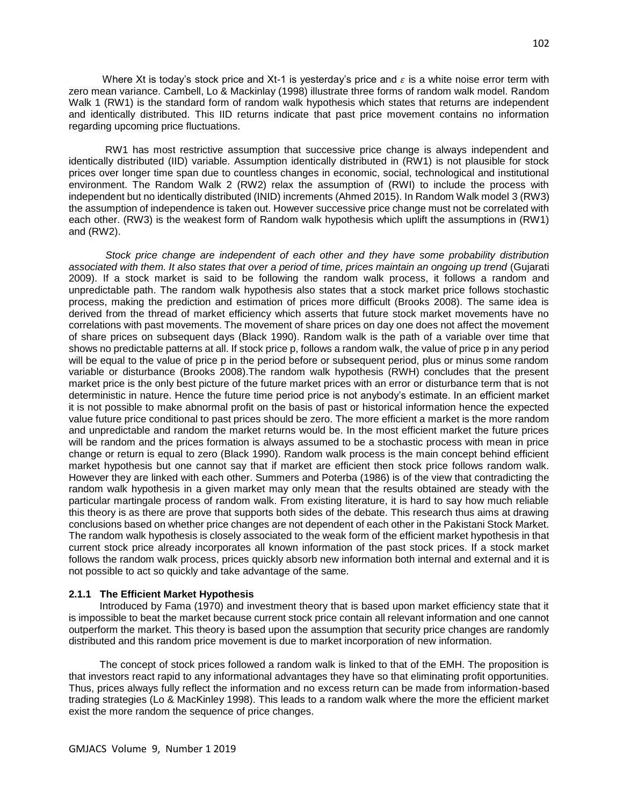Where Xt is today's stock price and Xt-1 is yesterday's price and  $\varepsilon$  is a white noise error term with zero mean variance. Cambell, Lo & Mackinlay (1998) illustrate three forms of random walk model. Random Walk 1 (RW1) is the standard form of random walk hypothesis which states that returns are independent and identically distributed. This IID returns indicate that past price movement contains no information regarding upcoming price fluctuations.

 RW1 has most restrictive assumption that successive price change is always independent and identically distributed (IID) variable. Assumption identically distributed in (RW1) is not plausible for stock prices over longer time span due to countless changes in economic, social, technological and institutional environment. The Random Walk 2 (RW2) relax the assumption of (RWI) to include the process with independent but no identically distributed (INID) increments (Ahmed 2015). In Random Walk model 3 (RW3) the assumption of independence is taken out. However successive price change must not be correlated with each other. (RW3) is the weakest form of Random walk hypothesis which uplift the assumptions in (RW1) and (RW2).

 *Stock price change are independent of each other and they have some probability distribution associated with them. It also states that over a period of time, prices maintain an ongoing up trend* (Gujarati 2009). If a stock market is said to be following the random walk process, it follows a random and unpredictable path. The random walk hypothesis also states that a stock market price follows stochastic process, making the prediction and estimation of prices more difficult (Brooks 2008). The same idea is derived from the thread of market efficiency which asserts that future stock market movements have no correlations with past movements. The movement of share prices on day one does not affect the movement of share prices on subsequent days (Black 1990). Random walk is the path of a variable over time that shows no predictable patterns at all. If stock price p, follows a random walk, the value of price p in any period will be equal to the value of price p in the period before or subsequent period, plus or minus some random variable or disturbance (Brooks 2008).The random walk hypothesis (RWH) concludes that the present market price is the only best picture of the future market prices with an error or disturbance term that is not deterministic in nature. Hence the future time period price is not anybody's estimate. In an efficient market it is not possible to make abnormal profit on the basis of past or historical information hence the expected value future price conditional to past prices should be zero. The more efficient a market is the more random and unpredictable and random the market returns would be. In the most efficient market the future prices will be random and the prices formation is always assumed to be a stochastic process with mean in price change or return is equal to zero (Black 1990). Random walk process is the main concept behind efficient market hypothesis but one cannot say that if market are efficient then stock price follows random walk. However they are linked with each other. Summers and Poterba (1986) is of the view that contradicting the random walk hypothesis in a given market may only mean that the results obtained are steady with the particular martingale process of random walk. From existing literature, it is hard to say how much reliable this theory is as there are prove that supports both sides of the debate. This research thus aims at drawing conclusions based on whether price changes are not dependent of each other in the Pakistani Stock Market. The random walk hypothesis is closely associated to the weak form of the efficient market hypothesis in that current stock price already incorporates all known information of the past stock prices. If a stock market follows the random walk process, prices quickly absorb new information both internal and external and it is not possible to act so quickly and take advantage of the same.

#### **2.1.1 The Efficient Market Hypothesis**

 Introduced by Fama (1970) and investment theory that is based upon market efficiency state that it is impossible to beat the market because current stock price contain all relevant information and one cannot outperform the market. This theory is based upon the assumption that security price changes are randomly distributed and this random price movement is due to market incorporation of new information.

 The concept of stock prices followed a random walk is linked to that of the EMH. The proposition is that investors react rapid to any informational advantages they have so that eliminating profit opportunities. Thus, prices always fully reflect the information and no excess return can be made from information-based trading strategies (Lo & MacKinley 1998). This leads to a random walk where the more the efficient market exist the more random the sequence of price changes.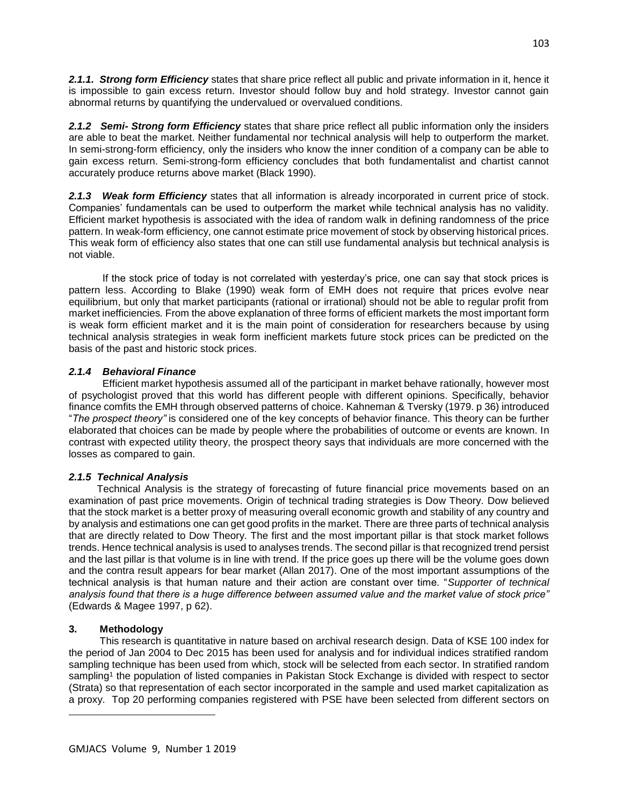*2.1.1. Strong form Efficiency* states that share price reflect all public and private information in it, hence it is impossible to gain excess return. Investor should follow buy and hold strategy. Investor cannot gain abnormal returns by quantifying the undervalued or overvalued conditions.

*2.1.2 Semi- Strong form Efficiency* states that share price reflect all public information only the insiders are able to beat the market. Neither fundamental nor technical analysis will help to outperform the market. In semi-strong-form efficiency, only the insiders who know the inner condition of a company can be able to gain excess return. Semi-strong-form efficiency concludes that both fundamentalist and chartist cannot accurately produce returns above market (Black 1990).

*2.1.3 Weak form Efficiency* states that all information is already incorporated in current price of stock. Companies' fundamentals can be used to outperform the market while technical analysis has no validity. Efficient market hypothesis is associated with the idea of random walk in defining randomness of the price pattern. In weak-form efficiency, one cannot estimate price movement of stock by observing historical prices. This weak form of efficiency also states that one can still use fundamental analysis but technical analysis is not viable.

 If the stock price of today is not correlated with yesterday's price, one can say that stock prices is pattern less. According to Blake (1990) weak form of EMH does not require that prices evolve near equilibrium, but only that market participants (rational or irrational) should not be able to regular profit from market inefficiencies*.* From the above explanation of three forms of efficient markets the most important form is weak form efficient market and it is the main point of consideration for researchers because by using technical analysis strategies in weak form inefficient markets future stock prices can be predicted on the basis of the past and historic stock prices.

## *2.1.4 Behavioral Finance*

 Efficient market hypothesis assumed all of the participant in market behave rationally, however most of psychologist proved that this world has different people with different opinions. Specifically, behavior finance comfits the EMH through observed patterns of choice. Kahneman & Tversky (1979. p 36) introduced "*The prospect theory"* is considered one of the key concepts of behavior finance. This theory can be further elaborated that choices can be made by people where the probabilities of outcome or events are known. In contrast with expected utility theory, the prospect theory says that individuals are more concerned with the losses as compared to gain.

# *2.1.5 Technical Analysis*

 Technical Analysis is the strategy of forecasting of future financial price movements based on an examination of past price movements. Origin of technical trading strategies is Dow Theory. Dow believed that the stock market is a better proxy of measuring overall economic growth and stability of any country and by analysis and estimations one can get good profits in the market. There are three parts of technical analysis that are directly related to Dow Theory. The first and the most important pillar is that stock market follows trends. Hence technical analysis is used to analyses trends. The second pillar is that recognized trend persist and the last pillar is that volume is in line with trend. If the price goes up there will be the volume goes down and the contra result appears for bear market (Allan 2017). One of the most important assumptions of the technical analysis is that human nature and their action are constant over time. "*Supporter of technical analysis found that there is a huge difference between assumed value and the market value of stock price"* (Edwards & Magee 1997, p 62).

# **3. Methodology**

 $\overline{\phantom{a}}$ 

 This research is quantitative in nature based on archival research design. Data of KSE 100 index for the period of Jan 2004 to Dec 2015 has been used for analysis and for individual indices stratified random sampling technique has been used from which, stock will be selected from each sector. In stratified random sampling<sup>1</sup> the population of listed companies in Pakistan Stock Exchange is divided with respect to sector (Strata) so that representation of each sector incorporated in the sample and used market capitalization as a proxy. Top 20 performing companies registered with PSE have been selected from different sectors on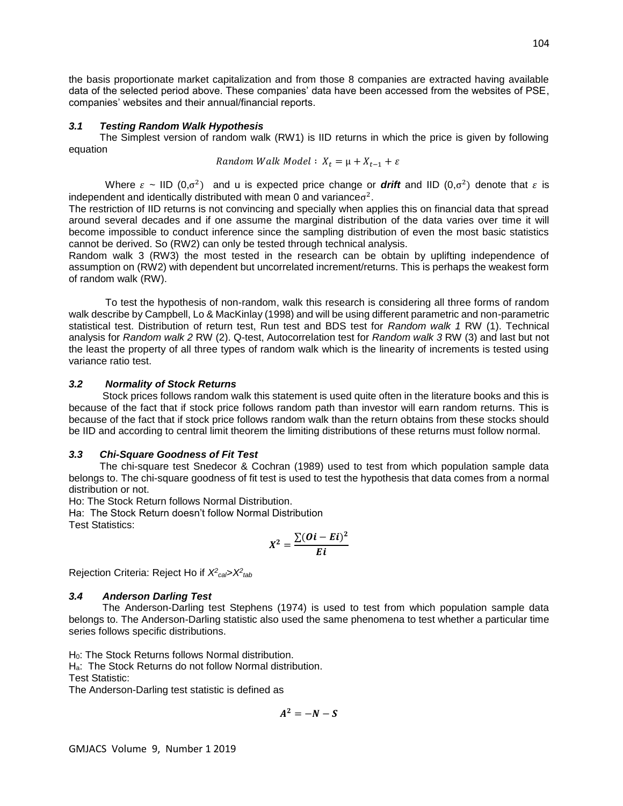the basis proportionate market capitalization and from those 8 companies are extracted having available data of the selected period above. These companies' data have been accessed from the websites of PSE, companies' websites and their annual/financial reports.

### *3.1 Testing Random Walk Hypothesis*

 The Simplest version of random walk (RW1) is IID returns in which the price is given by following equation

Random Walk Model: 
$$
X_t = \mu + X_{t-1} + \varepsilon
$$

Where  $\varepsilon \sim$  IID (0, $\sigma^2$ ) and u is expected price change or *drift* and IID (0, $\sigma^2$ ) denote that  $\varepsilon$  is independent and identically distributed with mean 0 and variance $\sigma^2$ .

The restriction of IID returns is not convincing and specially when applies this on financial data that spread around several decades and if one assume the marginal distribution of the data varies over time it will become impossible to conduct inference since the sampling distribution of even the most basic statistics cannot be derived. So (RW2) can only be tested through technical analysis.

Random walk 3 (RW3) the most tested in the research can be obtain by uplifting independence of assumption on (RW2) with dependent but uncorrelated increment/returns. This is perhaps the weakest form of random walk (RW).

 To test the hypothesis of non-random, walk this research is considering all three forms of random walk describe by Campbell, Lo & MacKinlay (1998) and will be using different parametric and non-parametric statistical test. Distribution of return test, Run test and BDS test for *Random walk 1* RW (1). Technical analysis for *Random walk 2* RW (2). Q-test, Autocorrelation test for *Random walk 3* RW (3) and last but not the least the property of all three types of random walk which is the linearity of increments is tested using variance ratio test.

### *3.2 Normality of Stock Returns*

 Stock prices follows random walk this statement is used quite often in the literature books and this is because of the fact that if stock price follows random path than investor will earn random returns. This is because of the fact that if stock price follows random walk than the return obtains from these stocks should be IID and according to central limit theorem the limiting distributions of these returns must follow normal.

## *3.3 Chi-Square Goodness of Fit Test*

 The chi-square test Snedecor & Cochran (1989) used to test from which population sample data belongs to. The chi-square goodness of fit test is used to test the hypothesis that data comes from a normal distribution or not.

Ho: The Stock Return follows Normal Distribution.

Ha: The Stock Return doesn't follow Normal Distribution

Test Statistics:

$$
X^2=\frac{\sum (Oi-Ei)^2}{Ei}
$$

Rejection Criteria: Reject Ho if *X<sup>2</sup> cal*>*X<sup>2</sup> tab*

## *3.4 Anderson Darling Test*

 The Anderson-Darling test Stephens (1974) is used to test from which population sample data belongs to. The Anderson-Darling statistic also used the same phenomena to test whether a particular time series follows specific distributions.

H<sub>0</sub>: The Stock Returns follows Normal distribution.

Ha: The Stock Returns do not follow Normal distribution.

Test Statistic:

The Anderson-Darling test statistic is defined as

 $A^2 = -N - S$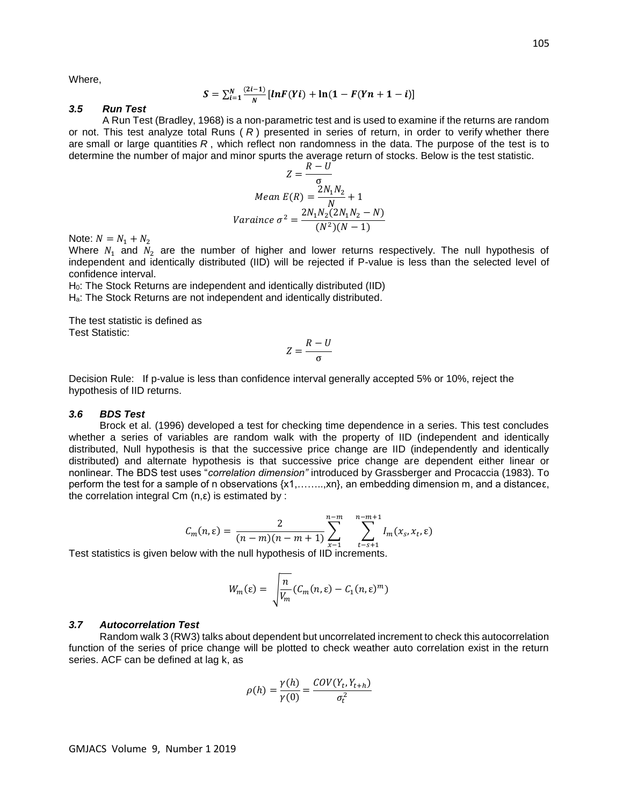Where,

$$
S = \sum_{i=1}^{N} \frac{(2i-1)}{N} [ln F(Yi) + ln(1 - F(Yn + 1 - i)]
$$

## *3.5 Run Test*

 A Run Test (Bradley, 1968) is a non-parametric test and is used to examine if the returns are random or not. This test analyze total Runs ( *R* ) presented in series of return, in order to verify whether there are small or large quantities *R* , which reflect non randomness in the data. The purpose of the test is to determine the number of major and minor spurts the average return of stocks. Below is the test statistic.

$$
Z = \frac{R - U}{\sigma}
$$
  
Mean  $E(R) = \frac{2N_1N_2}{N} + 1$   
Variance  $\sigma^2 = \frac{2N_1N_2(2N_1N_2 - N)}{(N^2)(N - 1)}$ 

Note:  $N = N_1 + N_2$ 

Where  $N_1$  and  $N_2$  are the number of higher and lower returns respectively. The null hypothesis of independent and identically distributed (IID) will be rejected if P-value is less than the selected level of confidence interval.

H<sub>0</sub>: The Stock Returns are independent and identically distributed (IID) Ha: The Stock Returns are not independent and identically distributed.

The test statistic is defined as Test Statistic:

$$
Z=\frac{R-U}{\sigma}
$$

Decision Rule: If p-value is less than confidence interval generally accepted 5% or 10%, reject the hypothesis of IID returns.

#### *3.6 BDS Test*

 Brock et al. (1996) developed a test for checking time dependence in a series. This test concludes whether a series of variables are random walk with the property of IID (independent and identically distributed, Null hypothesis is that the successive price change are IID (independently and identically distributed) and alternate hypothesis is that successive price change are dependent either linear or nonlinear. The BDS test uses "*correlation dimension"* introduced by Grassberger and Procaccia (1983). To perform the test for a sample of n observations {x1,……..,xn}, an embedding dimension m, and a distanceε, the correlation integral  $Cm$  (n,  $\varepsilon$ ) is estimated by :

$$
C_m(n,\varepsilon) = \frac{2}{(n-m)(n-m+1)} \sum_{x=1}^{n-m} \sum_{t=s+1}^{n-m+1} I_m(x_s, x_t, \varepsilon)
$$

Test statistics is given below with the null hypothesis of IID increments.

$$
W_m(\varepsilon) = \sqrt{\frac{n}{V_m}} (C_m(n,\varepsilon) - C_1(n,\varepsilon)^m)
$$

## *3.7 Autocorrelation Test*

 Random walk 3 (RW3) talks about dependent but uncorrelated increment to check this autocorrelation function of the series of price change will be plotted to check weather auto correlation exist in the return series. ACF can be defined at lag k, as

$$
\rho(h) = \frac{\gamma(h)}{\gamma(0)} = \frac{COV(Y_t, Y_{t+h})}{\sigma_t^2}
$$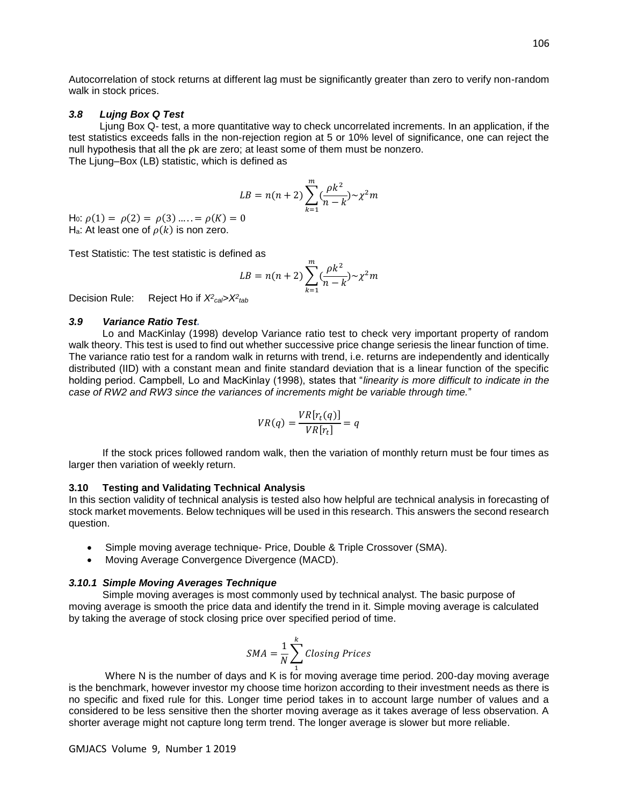Autocorrelation of stock returns at different lag must be significantly greater than zero to verify non-random walk in stock prices.

### *3.8 Lujng Box Q Test*

 Ljung Box Q- test, a more quantitative way to check uncorrelated increments. In an application, if the test statistics exceeds falls in the non-rejection region at 5 or 10% level of significance, one can reject the null hypothesis that all the ρk are zero; at least some of them must be nonzero. The Ljung–Box (LB) statistic, which is defined as

$$
LB = n(n+2) \sum_{k=1}^{m} \left(\frac{\rho k^2}{n-k}\right) \sim \chi^2 m
$$

H<sub>0</sub>:  $\rho(1) = \rho(2) = \rho(3) \dots = \rho(K) = 0$ H<sub>a</sub>: At least one of  $\rho(k)$  is non zero.

Test Statistic: The test statistic is defined as

$$
LB = n(n+2) \sum_{k=1}^{m} \left(\frac{\rho k^2}{n-k}\right) \sim \chi^2 m
$$

Decision Rule: *cal*>*X<sup>2</sup> tab*

### *3.9 Variance Ratio Test.*

 Lo and MacKinlay (1998) develop Variance ratio test to check very important property of random walk theory. This test is used to find out whether successive price change seriesis the linear function of time. The variance ratio test for a random walk in returns with trend, i.e. returns are independently and identically distributed (IID) with a constant mean and finite standard deviation that is a linear function of the specific holding period. Campbell, Lo and MacKinlay (1998), states that "*linearity is more difficult to indicate in the case of RW2 and RW3 since the variances of increments might be variable through time.*"

$$
VR(q) = \frac{VR[r_t(q)]}{VR[r_t]} = q
$$

 If the stock prices followed random walk, then the variation of monthly return must be four times as larger then variation of weekly return.

#### **3.10 Testing and Validating Technical Analysis**

In this section validity of technical analysis is tested also how helpful are technical analysis in forecasting of stock market movements. Below techniques will be used in this research. This answers the second research question.

- Simple moving average technique- Price, Double & Triple Crossover (SMA).
- Moving Average Convergence Divergence (MACD).

### *3.10.1 Simple Moving Averages Technique*

 Simple moving averages is most commonly used by technical analyst. The basic purpose of moving average is smooth the price data and identify the trend in it. Simple moving average is calculated by taking the average of stock closing price over specified period of time.

$$
SMA = \frac{1}{N} \sum_{1}^{k} Closing\ Prices
$$

1 Where N is the number of days and K is for moving average time period. 200-day moving average is the benchmark, however investor my choose time horizon according to their investment needs as there is no specific and fixed rule for this. Longer time period takes in to account large number of values and a considered to be less sensitive then the shorter moving average as it takes average of less observation. A shorter average might not capture long term trend. The longer average is slower but more reliable.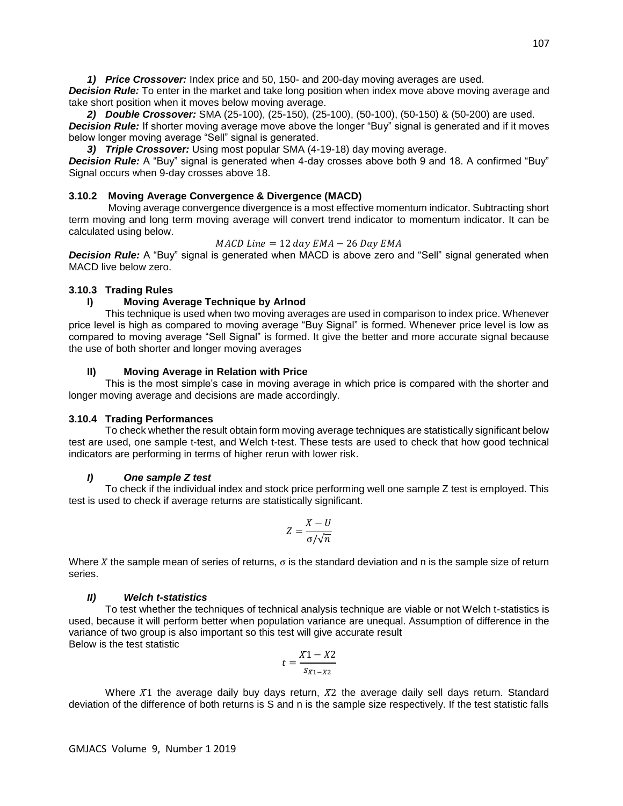*1) Price Crossover:* Index price and 50, 150- and 200-day moving averages are used.

**Decision Rule:** To enter in the market and take long position when index move above moving average and take short position when it moves below moving average.

*2) Double Crossover:* SMA (25-100), (25-150), (25-100), (50-100), (50-150) & (50-200) are used.

**Decision Rule:** If shorter moving average move above the longer "Buy" signal is generated and if it moves below longer moving average "Sell" signal is generated.

*3) Triple Crossover:* Using most popular SMA (4-19-18) day moving average.

*Decision Rule:* A "Buy" signal is generated when 4-day crosses above both 9 and 18. A confirmed "Buy" Signal occurs when 9-day crosses above 18.

## **3.10.2 Moving Average Convergence & Divergence (MACD)**

 Moving average convergence divergence is a most effective momentum indicator. Subtracting short term moving and long term moving average will convert trend indicator to momentum indicator. It can be calculated using below.

$$
MACD Line = 12 day EMA - 26 Day EMA
$$

*Decision Rule:* A "Buy" signal is generated when MACD is above zero and "Sell" signal generated when MACD live below zero.

## **3.10.3 Trading Rules**

## **I) Moving Average Technique by Arlnod**

 This technique is used when two moving averages are used in comparison to index price. Whenever price level is high as compared to moving average "Buy Signal" is formed. Whenever price level is low as compared to moving average "Sell Signal" is formed. It give the better and more accurate signal because the use of both shorter and longer moving averages

## **II) Moving Average in Relation with Price**

 This is the most simple's case in moving average in which price is compared with the shorter and longer moving average and decisions are made accordingly.

## **3.10.4 Trading Performances**

 To check whether the result obtain form moving average techniques are statistically significant below test are used, one sample t-test, and Welch t-test. These tests are used to check that how good technical indicators are performing in terms of higher rerun with lower risk.

## *I) One sample Z test*

 To check if the individual index and stock price performing well one sample Z test is employed. This test is used to check if average returns are statistically significant.

$$
Z = \frac{X - U}{\sigma / \sqrt{n}}
$$

Where  *the sample mean of series of returns,*  $\sigma$  *is the standard deviation and n is the sample size of return* series.

## *II) Welch t-statistics*

 To test whether the techniques of technical analysis technique are viable or not Welch t-statistics is used, because it will perform better when population variance are unequal. Assumption of difference in the variance of two group is also important so this test will give accurate result Below is the test statistic

$$
t = \frac{X_1 - X_2}{s_{X_1 - X_2}}
$$

Where  $X_1$  the average daily buy days return,  $X_2$  the average daily sell days return. Standard deviation of the difference of both returns is S and n is the sample size respectively. If the test statistic falls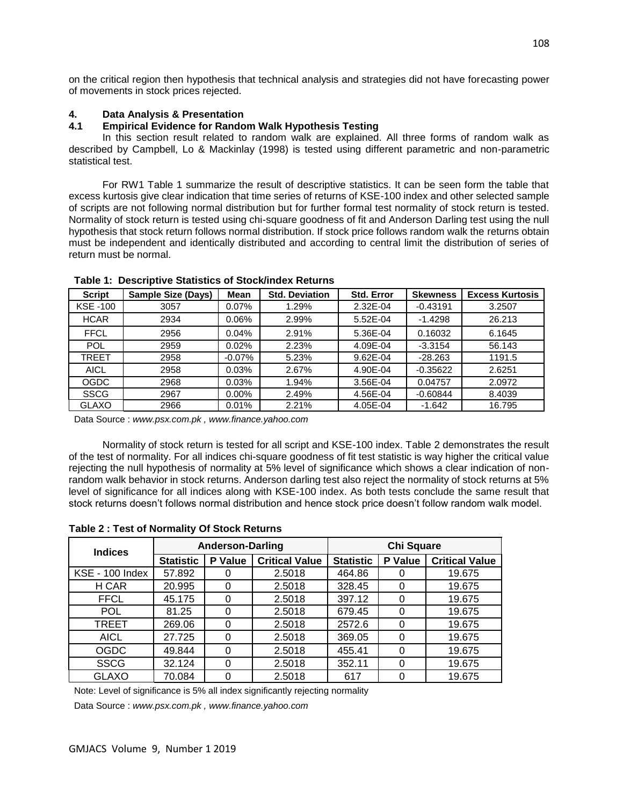on the critical region then hypothesis that technical analysis and strategies did not have forecasting power of movements in stock prices rejected.

## **4. Data Analysis & Presentation**

## **4.1 Empirical Evidence for Random Walk Hypothesis Testing**

 In this section result related to random walk are explained. All three forms of random walk as described by Campbell, Lo & Mackinlay (1998) is tested using different parametric and non-parametric statistical test.

 For RW1 Table 1 summarize the result of descriptive statistics. It can be seen form the table that excess kurtosis give clear indication that time series of returns of KSE-100 index and other selected sample of scripts are not following normal distribution but for further formal test normality of stock return is tested. Normality of stock return is tested using chi-square goodness of fit and Anderson Darling test using the null hypothesis that stock return follows normal distribution. If stock price follows random walk the returns obtain must be independent and identically distributed and according to central limit the distribution of series of return must be normal.

| <b>Script</b>   | <b>Sample Size (Days)</b> | Mean      | <b>Std. Deviation</b> | <b>Std. Error</b> | <b>Skewness</b> | <b>Excess Kurtosis</b> |
|-----------------|---------------------------|-----------|-----------------------|-------------------|-----------------|------------------------|
| <b>KSE -100</b> | 3057                      | 0.07%     | 1.29%                 | 2.32E-04          | $-0.43191$      | 3.2507                 |
| <b>HCAR</b>     | 2934                      | 0.06%     | 2.99%                 | 5.52E-04          | $-1.4298$       | 26.213                 |
| <b>FFCL</b>     | 2956                      | 0.04%     | 2.91%                 | 5.36E-04          | 0.16032         | 6.1645                 |
| <b>POL</b>      | 2959                      | 0.02%     | 2.23%                 | 4.09E-04          | $-3.3154$       | 56.143                 |
| TREET           | 2958                      | $-0.07\%$ | 5.23%                 | 9.62E-04          | $-28.263$       | 1191.5                 |
| <b>AICL</b>     | 2958                      | 0.03%     | 2.67%                 | 4.90E-04          | $-0.35622$      | 2.6251                 |
| <b>OGDC</b>     | 2968                      | 0.03%     | 1.94%                 | 3.56E-04          | 0.04757         | 2.0972                 |
| <b>SSCG</b>     | 2967                      | 0.00%     | 2.49%                 | 4.56E-04          | $-0.60844$      | 8.4039                 |
| <b>GLAXO</b>    | 2966                      | 0.01%     | 2.21%                 | 4.05E-04          | $-1.642$        | 16.795                 |

## **Table 1: Descriptive Statistics of Stock/index Returns**

Data Source : *www.psx.com.pk , www.finance.yahoo.com*

 Normality of stock return is tested for all script and KSE-100 index. Table 2 demonstrates the result of the test of normality. For all indices chi-square goodness of fit test statistic is way higher the critical value rejecting the null hypothesis of normality at 5% level of significance which shows a clear indication of nonrandom walk behavior in stock returns. Anderson darling test also reject the normality of stock returns at 5% level of significance for all indices along with KSE-100 index. As both tests conclude the same result that stock returns doesn't follows normal distribution and hence stock price doesn't follow random walk model.

| <b>Indices</b>         |                  | <b>Anderson-Darling</b> |                       | <b>Chi Square</b> |          |                       |  |  |
|------------------------|------------------|-------------------------|-----------------------|-------------------|----------|-----------------------|--|--|
|                        | <b>Statistic</b> | P Value                 | <b>Critical Value</b> | <b>Statistic</b>  | P Value  | <b>Critical Value</b> |  |  |
| <b>KSE - 100 Index</b> | 57.892           |                         | 2.5018                | 464.86            |          | 19.675                |  |  |
| H CAR                  | 20.995           | 0                       | 2.5018                | 328.45            |          | 19.675                |  |  |
| <b>FFCL</b>            | 45.175           | $\Omega$                | 2.5018                | 397.12            | $\Omega$ | 19.675                |  |  |
| POL                    | 81.25            | 0                       | 2.5018                | 679.45            | O        | 19.675                |  |  |
| <b>TREET</b>           | 269.06           | $\Omega$                | 2.5018                | 2572.6            | 0        | 19.675                |  |  |
| <b>AICL</b>            | 27.725           | 0                       | 2.5018                | 369.05            |          | 19.675                |  |  |
| <b>OGDC</b>            | 49.844           | $\Omega$                | 2.5018                | 455.41            | 0        | 19.675                |  |  |
| <b>SSCG</b>            | 32.124           | $\Omega$                | 2.5018                | 352.11            |          | 19.675                |  |  |
| GLAXO                  | 70.084           | 0                       | 2.5018                | 617               |          | 19.675                |  |  |

## **Table 2 : Test of Normality Of Stock Returns**

Note: Level of significance is 5% all index significantly rejecting normality

Data Source : *www.psx.com.pk , [www.finance.yahoo.com](http://www.finance.yahoo.com/)*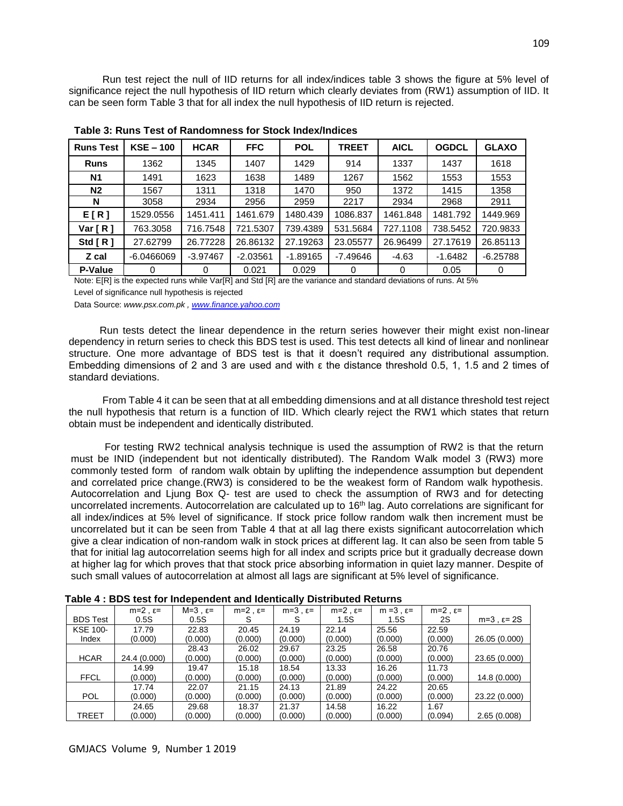Run test reject the null of IID returns for all index/indices table 3 shows the figure at 5% level of significance reject the null hypothesis of IID return which clearly deviates from (RW1) assumption of IID. It can be seen form Table 3 that for all index the null hypothesis of IID return is rejected.

| <b>Runs Test</b> | $KSE - 100$  | <b>HCAR</b> | <b>FFC</b> | <b>POL</b> | <b>TREET</b> | <b>AICL</b> | <b>OGDCL</b> | <b>GLAXO</b> |
|------------------|--------------|-------------|------------|------------|--------------|-------------|--------------|--------------|
| <b>Runs</b>      | 1362         | 1345        | 1407       | 1429       | 914          | 1337        | 1437         | 1618         |
| <b>N1</b>        | 1491         | 1623        | 1638       | 1489       | 1267         | 1562        | 1553         | 1553         |
| N <sub>2</sub>   | 1567         | 1311        | 1318       | 1470       | 950          | 1372        | 1415         | 1358         |
| N                | 3058         | 2934        | 2956       | 2959       | 2217         | 2934        | 2968         | 2911         |
| E[R]             | 1529.0556    | 1451.411    | 1461.679   | 1480.439   | 1086.837     | 1461.848    | 1481.792     | 1449.969     |
| Var [ R ]        | 763.3058     | 716.7548    | 721.5307   | 739.4389   | 531.5684     | 727.1108    | 738.5452     | 720.9833     |
| Std $R1$         | 27.62799     | 26.77228    | 26.86132   | 27.19263   | 23.05577     | 26.96499    | 27.17619     | 26.85113     |
| Z cal            | $-6.0466069$ | $-3.97467$  | $-2.03561$ | $-1.89165$ | $-7.49646$   | $-4.63$     | $-1.6482$    | $-6.25788$   |
| P-Value          | 0            | 0           | 0.021      | 0.029      | 0            | 0           | 0.05         | 0            |

**Table 3: Runs Test of Randomness for Stock Index/Indices**

Note: E[R] is the expected runs while Var[R] and Std [R] are the variance and standard deviations of runs. At 5%

Level of significance null hypothesis is rejected

Data Source: *www.psx.com.pk [, www.finance.yahoo.com](http://www.finance.yahoo.com/)*

 Run tests detect the linear dependence in the return series however their might exist non-linear dependency in return series to check this BDS test is used. This test detects all kind of linear and nonlinear structure. One more advantage of BDS test is that it doesn't required any distributional assumption. Embedding dimensions of 2 and 3 are used and with ε the distance threshold 0.5, 1, 1.5 and 2 times of standard deviations.

 From Table 4 it can be seen that at all embedding dimensions and at all distance threshold test reject the null hypothesis that return is a function of IID. Which clearly reject the RW1 which states that return obtain must be independent and identically distributed.

 For testing RW2 technical analysis technique is used the assumption of RW2 is that the return must be INID (independent but not identically distributed). The Random Walk model 3 (RW3) more commonly tested form of random walk obtain by uplifting the independence assumption but dependent and correlated price change.(RW3) is considered to be the weakest form of Random walk hypothesis. Autocorrelation and Ljung Box Q- test are used to check the assumption of RW3 and for detecting uncorrelated increments. Autocorrelation are calculated up to 16<sup>th</sup> lag. Auto correlations are significant for all index/indices at 5% level of significance. If stock price follow random walk then increment must be uncorrelated but it can be seen from Table 4 that at all lag there exists significant autocorrelation which give a clear indication of non-random walk in stock prices at different lag. It can also be seen from table 5 that for initial lag autocorrelation seems high for all index and scripts price but it gradually decrease down at higher lag for which proves that that stock price absorbing information in quiet lazy manner. Despite of such small values of autocorrelation at almost all lags are significant at 5% level of significance.

|                 | $m=2$ , $\varepsilon=$ | $M=3$ , $\epsilon$ = | $m=2$ , $\varepsilon$ = | $m=3$ , $\varepsilon=$ | $m=2$ , $\varepsilon=$ | $m = 3$ , $\varepsilon =$ | $m=2$ , $\varepsilon$ = |                         |
|-----------------|------------------------|----------------------|-------------------------|------------------------|------------------------|---------------------------|-------------------------|-------------------------|
| <b>BDS Test</b> | 0.5S                   | 0.5S                 |                         |                        | 1.5S                   | 1.5S                      | 2S                      | $m=3$ , $\epsilon$ = 2S |
| <b>KSE 100-</b> | 17.79                  | 22.83                | 20.45                   | 24.19                  | 22.14                  | 25.56                     | 22.59                   |                         |
| Index           | (0.000)                | (0.000)              | (0.000)                 | (0.000)                | (0.000)                | (0.000)                   | (0.000)                 | 26.05 (0.000)           |
|                 |                        | 28.43                | 26.02                   | 29.67                  | 23.25                  | 26.58                     | 20.76                   |                         |
| <b>HCAR</b>     | 24.4 (0.000)           | (0.000)              | (0.000)                 | (0.000)                | (0.000)                | (0.000)                   | (0.000)                 | 23.65 (0.000)           |
|                 | 14.99                  | 19.47                | 15.18                   | 18.54                  | 13.33                  | 16.26                     | 11.73                   |                         |
| <b>FFCL</b>     | (0.000)                | (0.000)              | (0.000)                 | (0.000)                | (0.000)                | (0.000)                   | (0.000)                 | 14.8 (0.000)            |
|                 | 17.74                  | 22.07                | 21.15                   | 24.13                  | 21.89                  | 24.22                     | 20.65                   |                         |
| <b>POL</b>      | (0.000)                | (0.000)              | (0.000)                 | (0.000)                | (0.000)                | (0.000)                   | (0.000)                 | 23.22 (0.000)           |
|                 | 24.65                  | 29.68                | 18.37                   | 21.37                  | 14.58                  | 16.22                     | 1.67                    |                         |
| <b>TREET</b>    | (0.000)                | (0.000)              | (0.000)                 | (0.000)                | (0.000)                | (0.000)                   | (0.094)                 | 2.65(0.008)             |

**Table 4 : BDS test for Independent and Identically Distributed Returns**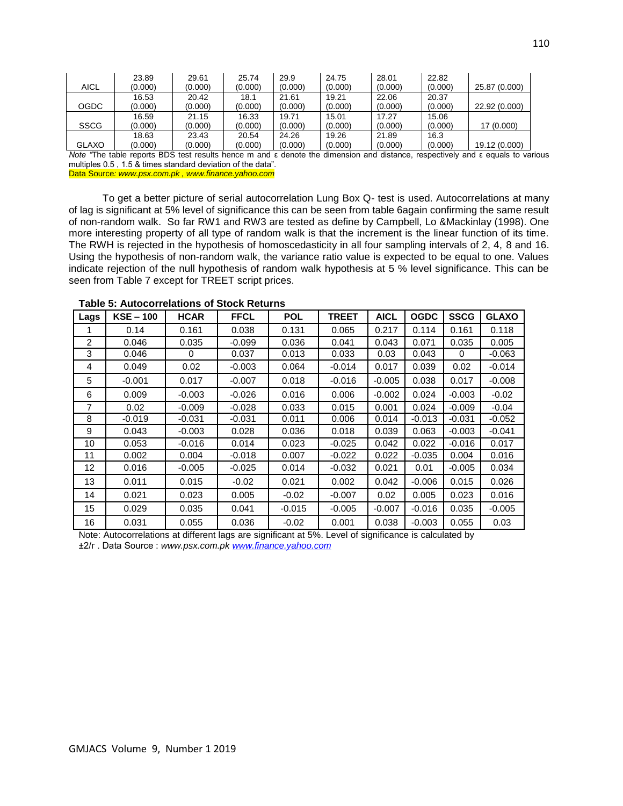|              | 23.89   | 29.61   | 25.74   | 29.9    | 24.75   | 28.01   | 22.82   |               |
|--------------|---------|---------|---------|---------|---------|---------|---------|---------------|
| <b>AICL</b>  | (0.000) | (0.000) | (0.000) | (0.000) | (0.000) | (0.000) | (0.000) | 25.87 (0.000) |
|              | 16.53   | 20.42   | 18.1    | 21.61   | 19.21   | 22.06   | 20.37   |               |
| <b>OGDC</b>  | (0.000) | (0.000) | (0.000) | (0.000) | (0.000) | (0.000) | (0.000) | 22.92 (0.000) |
|              | 16.59   | 21.15   | 16.33   | 19.71   | 15.01   | 17.27   | 15.06   |               |
| <b>SSCG</b>  | (0.000) | (0.000) | (0.000) | (0.000) | (0.000) | (0.000) | (0.000) | 17 (0.000)    |
|              | 18.63   | 23.43   | 20.54   | 24.26   | 19.26   | 21.89   | 16.3    |               |
| <b>GLAXO</b> | (0.000) | (0.000) | (0.000) | (0.000) | (0.000) | (0.000) | (0.000) | 19.12 (0.000) |

*Note "*The table reports BDS test results hence m and ε denote the dimension and distance, respectively and ε equals to various multiples 0.5 , 1.5 & times standard deviation of the data".

Data Source*: www.psx.com.pk , www.finance.yahoo.com*

 To get a better picture of serial autocorrelation Lung Box Q- test is used. Autocorrelations at many of lag is significant at 5% level of significance this can be seen from table 6again confirming the same result of non-random walk. So far RW1 and RW3 are tested as define by Campbell, Lo &Mackinlay (1998). One more interesting property of all type of random walk is that the increment is the linear function of its time. The RWH is rejected in the hypothesis of homoscedasticity in all four sampling intervals of 2, 4, 8 and 16. Using the hypothesis of non-random walk, the variance ratio value is expected to be equal to one. Values indicate rejection of the null hypothesis of random walk hypothesis at 5 % level significance. This can be seen from Table 7 except for TREET script prices.

| Lags           | $KSE - 100$ | <b>HCAR</b> | <b>FFCL</b> | <b>POL</b> | <b>TREET</b> | <b>AICL</b> | <b>OGDC</b> | <b>SSCG</b> | <b>GLAXO</b> |
|----------------|-------------|-------------|-------------|------------|--------------|-------------|-------------|-------------|--------------|
|                | 0.14        | 0.161       | 0.038       | 0.131      | 0.065        | 0.217       | 0.114       | 0.161       | 0.118        |
| $\overline{2}$ | 0.046       | 0.035       | $-0.099$    | 0.036      | 0.041        | 0.043       | 0.071       | 0.035       | 0.005        |
| 3              | 0.046       | 0           | 0.037       | 0.013      | 0.033        | 0.03        | 0.043       | 0           | $-0.063$     |
| 4              | 0.049       | 0.02        | $-0.003$    | 0.064      | $-0.014$     | 0.017       | 0.039       | 0.02        | $-0.014$     |
| 5              | $-0.001$    | 0.017       | $-0.007$    | 0.018      | -0.016       | $-0.005$    | 0.038       | 0.017       | $-0.008$     |
| 6              | 0.009       | $-0.003$    | $-0.026$    | 0.016      | 0.006        | $-0.002$    | 0.024       | $-0.003$    | $-0.02$      |
| $\overline{7}$ | 0.02        | $-0.009$    | $-0.028$    | 0.033      | 0.015        | 0.001       | 0.024       | $-0.009$    | $-0.04$      |
| 8              | $-0.019$    | -0.031      | $-0.031$    | 0.011      | 0.006        | 0.014       | $-0.013$    | $-0.031$    | $-0.052$     |
| 9              | 0.043       | -0.003      | 0.028       | 0.036      | 0.018        | 0.039       | 0.063       | $-0.003$    | $-0.041$     |
| 10             | 0.053       | -0.016      | 0.014       | 0.023      | $-0.025$     | 0.042       | 0.022       | $-0.016$    | 0.017        |
| 11             | 0.002       | 0.004       | $-0.018$    | 0.007      | $-0.022$     | 0.022       | $-0.035$    | 0.004       | 0.016        |
| 12             | 0.016       | -0.005      | $-0.025$    | 0.014      | $-0.032$     | 0.021       | 0.01        | $-0.005$    | 0.034        |
| 13             | 0.011       | 0.015       | $-0.02$     | 0.021      | 0.002        | 0.042       | $-0.006$    | 0.015       | 0.026        |
| 14             | 0.021       | 0.023       | 0.005       | $-0.02$    | $-0.007$     | 0.02        | 0.005       | 0.023       | 0.016        |
| 15             | 0.029       | 0.035       | 0.041       | $-0.015$   | $-0.005$     | $-0.007$    | $-0.016$    | 0.035       | $-0.005$     |
| 16             | 0.031       | 0.055       | 0.036       | $-0.02$    | 0.001        | 0.038       | $-0.003$    | 0.055       | 0.03         |

**Table 5: Autocorrelations of Stock Returns**

Note: Autocorrelations at different lags are significant at 5%. Level of significance is calculated by

±2/г . Data Source : *www.psx.com.pk [www.finance.yahoo.com](http://www.finance.yahoo.com/)*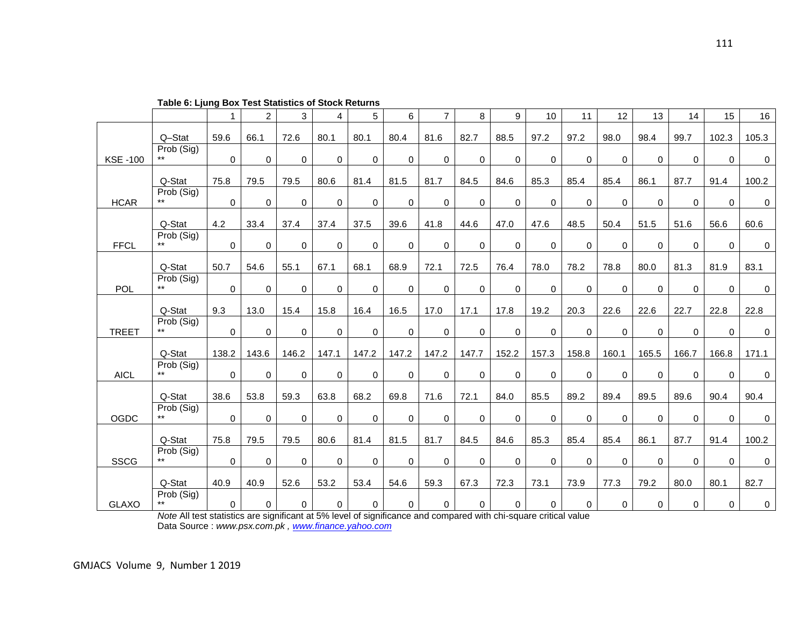|                |                     | $\mathbf{1}$   | $\overline{2}$ | 3           | 4           | 5           | 6           | $\overline{7}$ | 8           | 9           | 10          | 11          | 12             | 13    | 14    | 15             | 16    |
|----------------|---------------------|----------------|----------------|-------------|-------------|-------------|-------------|----------------|-------------|-------------|-------------|-------------|----------------|-------|-------|----------------|-------|
|                | Q-Stat              | 59.6           | 66.1           | 72.6        | 80.1        | 80.1        | 80.4        | 81.6           | 82.7        | 88.5        | 97.2        | 97.2        | 98.0           | 98.4  | 99.7  | 102.3          | 105.3 |
| <b>KSE-100</b> | Prob (Sig)<br>$***$ | $\mathsf{O}$   | $\mathbf 0$    | $\mathbf 0$ | $\mathbf 0$ | $\mathbf 0$ | $\mathbf 0$ | 0              | $\mathbf 0$ | 0           | 0           | $\mathbf 0$ | $\mathbf 0$    | 0     | 0     | 0              | 0     |
|                |                     |                |                |             |             |             |             |                |             |             |             |             |                |       |       |                |       |
|                | Q-Stat              | 75.8           | 79.5           | 79.5        | 80.6        | 81.4        | 81.5        | 81.7           | 84.5        | 84.6        | 85.3        | 85.4        | 85.4           | 86.1  | 87.7  | 91.4           | 100.2 |
| <b>HCAR</b>    | Prob (Sig)<br>$***$ | $\overline{0}$ | $\mathbf 0$    | $\mathbf 0$ | $\Omega$    | $\mathbf 0$ | $\mathbf 0$ | $\mathbf 0$    | $\mathbf 0$ | 0           | 0           | $\mathbf 0$ | $\overline{0}$ | 0     | 0     | $\mathbf 0$    | 0     |
|                | Q-Stat              | 4.2            | 33.4           | 37.4        | 37.4        | 37.5        | 39.6        | 41.8           | 44.6        | 47.0        | 47.6        | 48.5        | 50.4           | 51.5  | 51.6  | 56.6           | 60.6  |
| <b>FFCL</b>    | Prob (Sig)<br>$***$ | $\overline{0}$ | $\mathbf 0$    | $\mathbf 0$ | $\mathbf 0$ | $\mathbf 0$ | $\mathbf 0$ | 0              | $\mathbf 0$ | $\mathbf 0$ | $\mathbf 0$ | $\mathbf 0$ | $\overline{0}$ | 0     | 0     | $\mathbf 0$    | 0     |
|                | Q-Stat              | 50.7           | 54.6           | 55.1        | 67.1        | 68.1        | 68.9        | 72.1           | 72.5        | 76.4        | 78.0        | 78.2        | 78.8           | 80.0  | 81.3  | 81.9           | 83.1  |
|                | Prob (Sig)          |                |                |             |             |             |             |                |             |             |             |             |                |       |       |                |       |
| POL            | $***$               | $\mathsf{O}$   | $\mathbf 0$    | 0           | $\Omega$    | 0           | $\mathbf 0$ | 0              | $\pmb{0}$   | 0           | 0           | $\mathbf 0$ | 0              | 0     | 0     | 0              | 0     |
|                | Q-Stat              | 9.3            | 13.0           | 15.4        | 15.8        | 16.4        | 16.5        | 17.0           | 17.1        | 17.8        | 19.2        | 20.3        | 22.6           | 22.6  | 22.7  | 22.8           | 22.8  |
| <b>TREET</b>   | Prob (Sig)          | $\mathbf 0$    | $\mathbf 0$    | $\mathbf 0$ | $\Omega$    | $\mathbf 0$ | $\mathbf 0$ | $\mathbf 0$    | $\mathbf 0$ | 0           | $\mathbf 0$ | 0           | 0              | 0     | 0     | $\overline{0}$ | 0     |
|                | Q-Stat              | 138.2          | 143.6          | 146.2       | 147.1       | 147.2       | 147.2       | 147.2          | 147.7       | 152.2       | 157.3       | 158.8       | 160.1          | 165.5 | 166.7 | 166.8          | 171.1 |
|                | Prob (Sig)          |                |                |             |             |             |             |                |             |             |             |             |                |       |       |                |       |
| <b>AICL</b>    | $***$               | $\mathbf{0}$   | 0              | $\mathbf 0$ | $\mathbf 0$ | 0           | 0           | 0              | 0           | 0           | 0           | 0           | 0              | 0     | 0     | $\mathbf 0$    | 0     |
|                | Q-Stat              | 38.6           | 53.8           | 59.3        | 63.8        | 68.2        | 69.8        | 71.6           | 72.1        | 84.0        | 85.5        | 89.2        | 89.4           | 89.5  | 89.6  | 90.4           | 90.4  |
| OGDC           | Prob (Sig)          | $\mathbf 0$    | 0              | 0           | $\Omega$    | $\mathbf 0$ | 0           | 0              | 0           | 0           | $\mathbf 0$ | 0           | 0              | 0     | 0     | 0              | 0     |
|                |                     |                |                |             |             |             |             |                |             |             |             |             |                |       |       |                |       |
|                | Q-Stat              | 75.8           | 79.5           | 79.5        | 80.6        | 81.4        | 81.5        | 81.7           | 84.5        | 84.6        | 85.3        | 85.4        | 85.4           | 86.1  | 87.7  | 91.4           | 100.2 |
| <b>SSCG</b>    | Prob (Sig)          | $\mathbf 0$    | 0              | $\mathbf 0$ | $\mathbf 0$ | 0           | 0           | $\mathbf 0$    | $\mathbf 0$ | 0           | $\mathbf 0$ | $\mathbf 0$ | 0              | 0     | 0     | $\mathbf 0$    | 0     |
|                | Q-Stat              | 40.9           | 40.9           | 52.6        | 53.2        | 53.4        | 54.6        | 59.3           | 67.3        | 72.3        | 73.1        | 73.9        | 77.3           | 79.2  | 80.0  | 80.1           | 82.7  |
| <b>GLAXO</b>   | Prob (Sig)<br>$***$ | $\mathbf 0$    | 0              | 0           | $\mathbf 0$ | $\pmb{0}$   | $\pmb{0}$   | 0              | $\mathbf 0$ | 0           | 0           | 0           | 0              | 0     | 0     | 0              | 0     |

**Table 6: Ljung Box Test Statistics of Stock Returns**

*Note* All test statistics are significant at 5% level of significance and compared with chi-square critical value Data Source : *www.psx.com.pk , [www.finance.yahoo.com](http://www.finance.yahoo.com/)*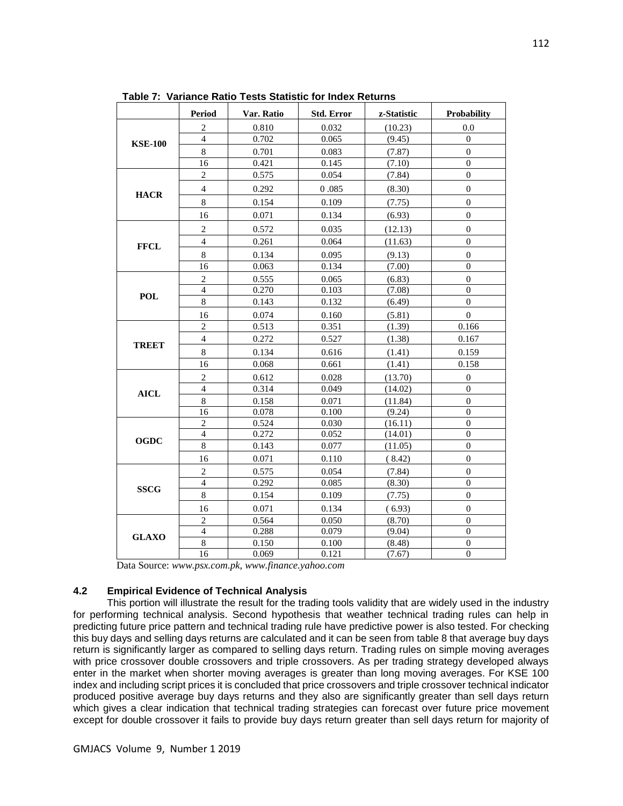|                | Period                  | Var. Ratio | <b>Std. Error</b> | z-Statistic | Probability      |
|----------------|-------------------------|------------|-------------------|-------------|------------------|
|                | $\boldsymbol{2}$        | 0.810      | 0.032             | (10.23)     | 0.0              |
| <b>KSE-100</b> | $\overline{4}$          | 0.702      | 0.065             | (9.45)      | $\overline{0}$   |
|                | $\,8$                   | 0.701      | 0.083             | (7.87)      | $\boldsymbol{0}$ |
|                | 16                      | 0.421      | 0.145             | (7.10)      | $\overline{0}$   |
|                | $\sqrt{2}$              | 0.575      | 0.054             | (7.84)      | $\boldsymbol{0}$ |
|                | $\overline{4}$          | 0.292      | 0.085             | (8.30)      | $\overline{0}$   |
| <b>HACR</b>    | $\,8\,$                 | 0.154      | 0.109             | (7.75)      | $\overline{0}$   |
|                | 16                      | 0.071      | 0.134             | (6.93)      | $\boldsymbol{0}$ |
|                | $\sqrt{2}$              | 0.572      | 0.035             | (12.13)     | $\boldsymbol{0}$ |
|                | $\overline{4}$          | 0.261      | 0.064             | (11.63)     | $\theta$         |
| <b>FFCL</b>    | $\bf 8$                 | 0.134      | 0.095             | (9.13)      | $\overline{0}$   |
|                | 16                      | 0.063      | 0.134             | (7.00)      | $\theta$         |
|                | $\mathbf{2}$            | 0.555      | 0.065             | (6.83)      | $\boldsymbol{0}$ |
|                | $\overline{4}$          | 0.270      | 0.103             | (7.08)      | $\theta$         |
| <b>POL</b>     | 8                       | 0.143      | 0.132             | (6.49)      | $\overline{0}$   |
|                | 16                      | 0.074      | 0.160             | (5.81)      | $\overline{0}$   |
|                | $\overline{2}$          | 0.513      | 0.351             | (1.39)      | 0.166            |
|                | $\overline{4}$          | 0.272      | 0.527             | (1.38)      | 0.167            |
| <b>TREET</b>   | $\,8\,$                 | 0.134      | 0.616             | (1.41)      | 0.159            |
|                | 16                      | 0.068      | 0.661             | (1.41)      | 0.158            |
|                | $\boldsymbol{2}$        | 0.612      | 0.028             | (13.70)     | $\boldsymbol{0}$ |
| <b>AICL</b>    | $\overline{4}$          | 0.314      | 0.049             | (14.02)     | $\overline{0}$   |
|                | $\,8\,$                 | 0.158      | 0.071             | (11.84)     | $\boldsymbol{0}$ |
|                | $\overline{16}$         | 0.078      | 0.100             | (9.24)      | $\mathbf{0}$     |
|                | $\overline{2}$          | 0.524      | 0.030             | (16.11)     | $\mathbf{0}$     |
| <b>OGDC</b>    | $\overline{4}$          | 0.272      | 0.052             | (14.01)     | $\mathbf{0}$     |
|                | 8                       | 0.143      | 0.077             | (11.05)     | $\boldsymbol{0}$ |
|                | 16                      | 0.071      | 0.110             | (8.42)      | $\overline{0}$   |
|                | $\sqrt{2}$              | 0.575      | 0.054             | (7.84)      | $\boldsymbol{0}$ |
| <b>SSCG</b>    | $\overline{\mathbf{4}}$ | 0.292      | 0.085             | (8.30)      | $\overline{0}$   |
|                | $\,8\,$                 | 0.154      | 0.109             | (7.75)      | $\overline{0}$   |
|                | 16                      | 0.071      | 0.134             | (6.93)      | $\mathbf{0}$     |
|                | $\overline{c}$          | 0.564      | 0.050             | (8.70)      | $\mathbf{0}$     |
| <b>GLAXO</b>   | $\overline{4}$          | 0.288      | 0.079             | (9.04)      | $\overline{0}$   |
|                | $\,8\,$                 | 0.150      | 0.100             | (8.48)      | $\mathbf{0}$     |
|                | 16                      | 0.069      | 0.121             | (7.67)      | $\theta$         |

**Table 7: Variance Ratio Tests Statistic for Index Returns**

Data Source: *www.psx.com.pk, www.finance.yahoo.com*

### **4.2 Empirical Evidence of Technical Analysis**

 This portion will illustrate the result for the trading tools validity that are widely used in the industry for performing technical analysis. Second hypothesis that weather technical trading rules can help in predicting future price pattern and technical trading rule have predictive power is also tested. For checking this buy days and selling days returns are calculated and it can be seen from table 8 that average buy days return is significantly larger as compared to selling days return. Trading rules on simple moving averages with price crossover double crossovers and triple crossovers. As per trading strategy developed always enter in the market when shorter moving averages is greater than long moving averages. For KSE 100 index and including script prices it is concluded that price crossovers and triple crossover technical indicator produced positive average buy days returns and they also are significantly greater than sell days return which gives a clear indication that technical trading strategies can forecast over future price movement except for double crossover it fails to provide buy days return greater than sell days return for majority of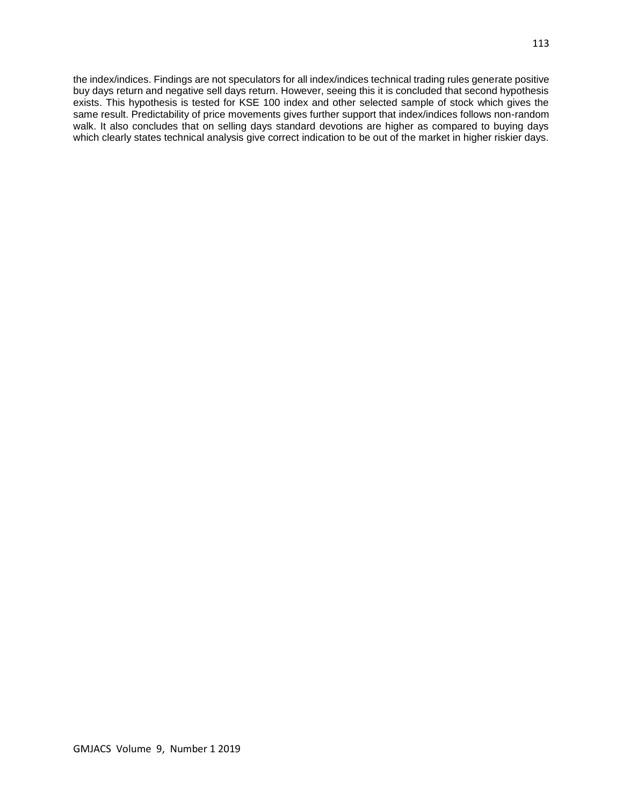the index/indices. Findings are not speculators for all index/indices technical trading rules generate positive buy days return and negative sell days return. However, seeing this it is concluded that second hypothesis exists. This hypothesis is tested for KSE 100 index and other selected sample of stock which gives the same result. Predictability of price movements gives further support that index/indices follows non-random walk. It also concludes that on selling days standard devotions are higher as compared to buying days which clearly states technical analysis give correct indication to be out of the market in higher riskier days.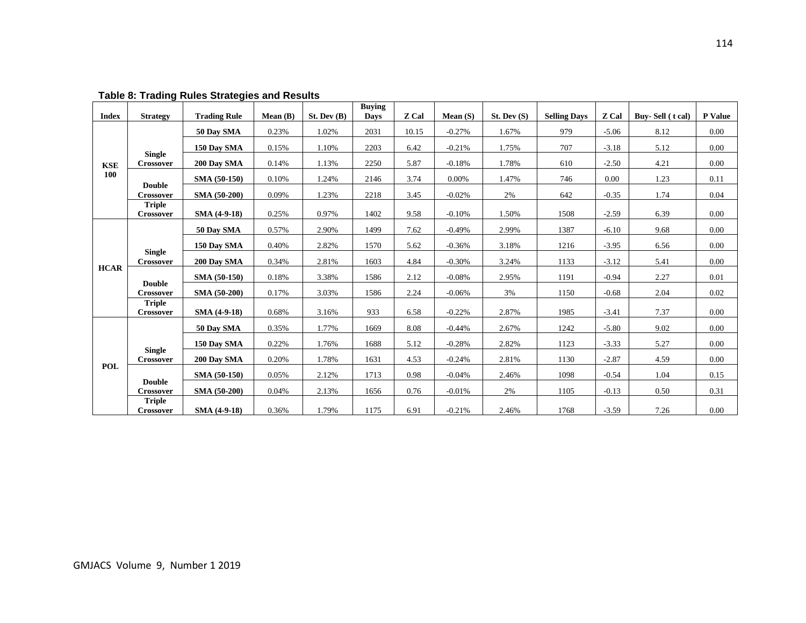| <b>Index</b> | <b>Strategy</b>            | <b>Trading Rule</b> | Mean(B) | St. Dev(B) | <b>Buying</b><br><b>Days</b> | Z Cal | Mean $(S)$ | St. Dev(S) | <b>Selling Days</b> | Z Cal   | Buy-Sell (t cal) | P Value |
|--------------|----------------------------|---------------------|---------|------------|------------------------------|-------|------------|------------|---------------------|---------|------------------|---------|
|              |                            | 50 Day SMA          | 0.23%   | 1.02%      | 2031                         | 10.15 | $-0.27%$   | 1.67%      | 979                 | $-5.06$ | 8.12             | 0.00    |
|              |                            | 150 Day SMA         | 0.15%   | 1.10%      | 2203                         | 6.42  | $-0.21%$   | 1.75%      | 707                 | $-3.18$ | 5.12             | 0.00    |
| <b>KSE</b>   | <b>Single</b><br>Crossover | 200 Day SMA         | 0.14%   | 1.13%      | 2250                         | 5.87  | $-0.18%$   | 1.78%      | 610                 | $-2.50$ | 4.21             | 0.00    |
| 100          |                            | SMA (50-150)        | 0.10%   | 1.24%      | 2146                         | 3.74  | 0.00%      | 1.47%      | 746                 | 0.00    | 1.23             | 0.11    |
|              | <b>Double</b><br>Crossover | SMA (50-200)        | 0.09%   | 1.23%      | 2218                         | 3.45  | $-0.02%$   | 2%         | 642                 | $-0.35$ | 1.74             | 0.04    |
|              | <b>Triple</b><br>Crossover | SMA (4-9-18)        | 0.25%   | 0.97%      | 1402                         | 9.58  | $-0.10%$   | 1.50%      | 1508                | $-2.59$ | 6.39             | 0.00    |
|              |                            | 50 Day SMA          | 0.57%   | 2.90%      | 1499                         | 7.62  | $-0.49%$   | 2.99%      | 1387                | $-6.10$ | 9.68             | 0.00    |
|              |                            |                     |         |            |                              |       |            |            |                     |         |                  |         |
|              | <b>Single</b>              | 150 Day SMA         | 0.40%   | 2.82%      | 1570                         | 5.62  | $-0.36%$   | 3.18%      | 1216                | $-3.95$ | 6.56             | 0.00    |
| <b>HCAR</b>  | <b>Crossover</b>           | 200 Day SMA         | 0.34%   | 2.81%      | 1603                         | 4.84  | $-0.30%$   | 3.24%      | 1133                | $-3.12$ | 5.41             | 0.00    |
|              | <b>Double</b>              | <b>SMA (50-150)</b> | 0.18%   | 3.38%      | 1586                         | 2.12  | $-0.08%$   | 2.95%      | 1191                | $-0.94$ | 2.27             | 0.01    |
|              | Crossover<br><b>Triple</b> | <b>SMA (50-200)</b> | 0.17%   | 3.03%      | 1586                         | 2.24  | $-0.06%$   | 3%         | 1150                | $-0.68$ | 2.04             | 0.02    |
|              | <b>Crossover</b>           | <b>SMA (4-9-18)</b> | 0.68%   | 3.16%      | 933                          | 6.58  | $-0.22%$   | 2.87%      | 1985                | $-3.41$ | 7.37             | 0.00    |
|              |                            | 50 Day SMA          | 0.35%   | 1.77%      | 1669                         | 8.08  | $-0.44%$   | 2.67%      | 1242                | $-5.80$ | 9.02             | 0.00    |
|              |                            | 150 Day SMA         | 0.22%   | 1.76%      | 1688                         | 5.12  | $-0.28%$   | 2.82%      | 1123                | $-3.33$ | 5.27             | 0.00    |
|              | <b>Single</b><br>Crossover | 200 Day SMA         | 0.20%   | 1.78%      | 1631                         | 4.53  | $-0.24%$   | 2.81%      | 1130                | $-2.87$ | 4.59             | 0.00    |
| POL          |                            | SMA (50-150)        | 0.05%   | 2.12%      | 1713                         | 0.98  | $-0.04%$   | 2.46%      | 1098                | $-0.54$ | 1.04             | 0.15    |
|              | <b>Double</b><br>Crossover | SMA (50-200)        | 0.04%   | 2.13%      | 1656                         | 0.76  | $-0.01%$   | 2%         | 1105                | $-0.13$ | 0.50             | 0.31    |
|              | <b>Triple</b><br>Crossover | <b>SMA (4-9-18)</b> | 0.36%   | 1.79%      | 1175                         | 6.91  | $-0.21%$   | 2.46%      | 1768                | $-3.59$ | 7.26             | 0.00    |

**Table 8: Trading Rules Strategies and Results**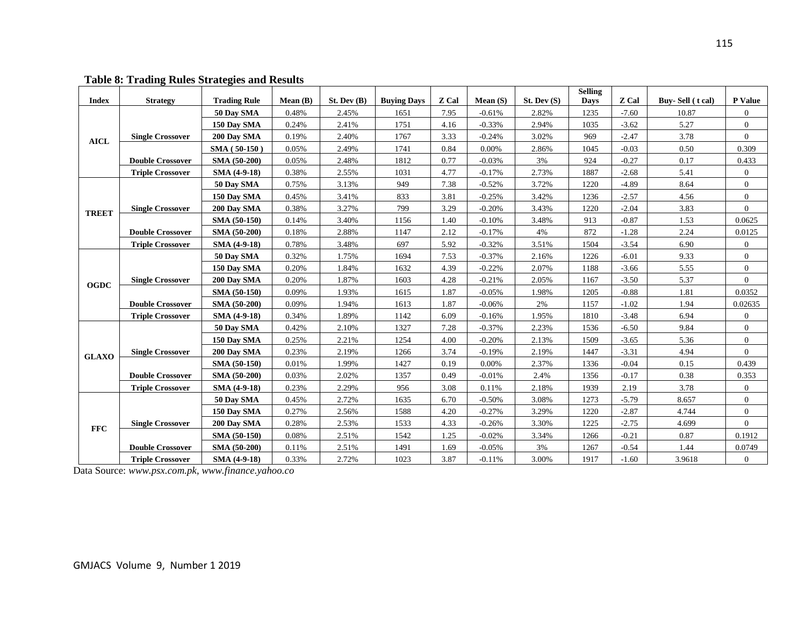|              |                         |                     |         |            |                    |       |            |            | <b>Selling</b> |         |                  |                |
|--------------|-------------------------|---------------------|---------|------------|--------------------|-------|------------|------------|----------------|---------|------------------|----------------|
| <b>Index</b> | <b>Strategy</b>         | <b>Trading Rule</b> | Mean(B) | St. Dev(B) | <b>Buying Days</b> | Z Cal | Mean $(S)$ | St. Dev(S) | <b>Days</b>    | Z Cal   | Buy-Sell (t cal) | <b>P</b> Value |
|              |                         | 50 Day SMA          | 0.48%   | 2.45%      | 1651               | 7.95  | $-0.61%$   | 2.82%      | 1235           | $-7.60$ | 10.87            | $\overline{0}$ |
|              |                         | 150 Day SMA         | 0.24%   | 2.41%      | 1751               | 4.16  | $-0.33%$   | 2.94%      | 1035           | $-3.62$ | 5.27             | $\overline{0}$ |
| <b>AICL</b>  | <b>Single Crossover</b> | 200 Day SMA         | 0.19%   | 2.40%      | 1767               | 3.33  | $-0.24%$   | 3.02%      | 969            | $-2.47$ | 3.78             | $\mathbf{0}$   |
|              |                         | SMA (50-150)        | 0.05%   | 2.49%      | 1741               | 0.84  | 0.00%      | 2.86%      | 1045           | $-0.03$ | 0.50             | 0.309          |
|              | <b>Double Crossover</b> | SMA (50-200)        | 0.05%   | 2.48%      | 1812               | 0.77  | $-0.03%$   | 3%         | 924            | $-0.27$ | 0.17             | 0.433          |
|              | <b>Triple Crossover</b> | SMA (4-9-18)        | 0.38%   | 2.55%      | 1031               | 4.77  | $-0.17%$   | 2.73%      | 1887           | $-2.68$ | 5.41             | $\overline{0}$ |
|              |                         | 50 Day SMA          | 0.75%   | 3.13%      | 949                | 7.38  | $-0.52%$   | 3.72%      | 1220           | $-4.89$ | 8.64             | $\overline{0}$ |
|              |                         | 150 Day SMA         | 0.45%   | 3.41%      | 833                | 3.81  | $-0.25%$   | 3.42%      | 1236           | $-2.57$ | 4.56             | $\overline{0}$ |
| <b>TREET</b> | <b>Single Crossover</b> | 200 Day SMA         | 0.38%   | 3.27%      | 799                | 3.29  | $-0.20%$   | 3.43%      | 1220           | $-2.04$ | 3.83             | $\mathbf{0}$   |
|              |                         | SMA (50-150)        | 0.14%   | 3.40%      | 1156               | 1.40  | $-0.10%$   | 3.48%      | 913            | $-0.87$ | 1.53             | 0.0625         |
|              | <b>Double Crossover</b> | SMA (50-200)        | 0.18%   | 2.88%      | 1147               | 2.12  | $-0.17%$   | 4%         | 872            | $-1.28$ | 2.24             | 0.0125         |
|              | <b>Triple Crossover</b> | SMA (4-9-18)        | 0.78%   | 3.48%      | 697                | 5.92  | $-0.32%$   | 3.51%      | 1504           | $-3.54$ | 6.90             | $\overline{0}$ |
|              |                         | 50 Day SMA          | 0.32%   | 1.75%      | 1694               | 7.53  | $-0.37%$   | 2.16%      | 1226           | $-6.01$ | 9.33             | $\overline{0}$ |
|              |                         | 150 Day SMA         | 0.20%   | 1.84%      | 1632               | 4.39  | $-0.22%$   | 2.07%      | 1188           | $-3.66$ | 5.55             | $\overline{0}$ |
| <b>OGDC</b>  | <b>Single Crossover</b> | 200 Day SMA         | 0.20%   | 1.87%      | 1603               | 4.28  | $-0.21%$   | 2.05%      | 1167           | $-3.50$ | 5.37             | $\overline{0}$ |
|              |                         | SMA (50-150)        | 0.09%   | 1.93%      | 1615               | 1.87  | $-0.05%$   | 1.98%      | 1205           | $-0.88$ | 1.81             | 0.0352         |
|              | <b>Double Crossover</b> | SMA (50-200)        | 0.09%   | 1.94%      | 1613               | 1.87  | $-0.06%$   | 2%         | 1157           | $-1.02$ | 1.94             | 0.02635        |
|              | <b>Triple Crossover</b> | SMA (4-9-18)        | 0.34%   | 1.89%      | 1142               | 6.09  | $-0.16%$   | 1.95%      | 1810           | $-3.48$ | 6.94             | $\overline{0}$ |
|              |                         | 50 Day SMA          | 0.42%   | 2.10%      | 1327               | 7.28  | $-0.37%$   | 2.23%      | 1536           | $-6.50$ | 9.84             | $\overline{0}$ |
|              |                         | 150 Day SMA         | 0.25%   | 2.21%      | 1254               | 4.00  | $-0.20%$   | 2.13%      | 1509           | $-3.65$ | 5.36             | $\overline{0}$ |
| <b>GLAXO</b> | <b>Single Crossover</b> | 200 Day SMA         | 0.23%   | 2.19%      | 1266               | 3.74  | $-0.19%$   | 2.19%      | 1447           | $-3.31$ | 4.94             | $\overline{0}$ |
|              |                         | SMA (50-150)        | 0.01%   | 1.99%      | 1427               | 0.19  | 0.00%      | 2.37%      | 1336           | $-0.04$ | 0.15             | 0.439          |
|              | <b>Double Crossover</b> | SMA (50-200)        | 0.03%   | 2.02%      | 1357               | 0.49  | $-0.01%$   | 2.4%       | 1356           | $-0.17$ | 0.38             | 0.353          |
|              | <b>Triple Crossover</b> | SMA (4-9-18)        | 0.23%   | 2.29%      | 956                | 3.08  | 0.11%      | 2.18%      | 1939           | 2.19    | 3.78             | $\overline{0}$ |
|              |                         | 50 Day SMA          | 0.45%   | 2.72%      | 1635               | 6.70  | $-0.50%$   | 3.08%      | 1273           | $-5.79$ | 8.657            | $\overline{0}$ |
|              |                         | 150 Day SMA         | 0.27%   | 2.56%      | 1588               | 4.20  | $-0.27%$   | 3.29%      | 1220           | $-2.87$ | 4.744            | $\overline{0}$ |
|              | <b>Single Crossover</b> | 200 Day SMA         | 0.28%   | 2.53%      | 1533               | 4.33  | $-0.26%$   | 3.30%      | 1225           | $-2.75$ | 4.699            | $\Omega$       |
| <b>FFC</b>   |                         | SMA (50-150)        | 0.08%   | 2.51%      | 1542               | 1.25  | $-0.02%$   | 3.34%      | 1266           | $-0.21$ | 0.87             | 0.1912         |
|              | <b>Double Crossover</b> | SMA (50-200)        | 0.11%   | 2.51%      | 1491               | 1.69  | $-0.05%$   | 3%         | 1267           | $-0.54$ | 1.44             | 0.0749         |
|              | <b>Triple Crossover</b> | SMA (4-9-18)        | 0.33%   | 2.72%      | 1023               | 3.87  | $-0.11%$   | 3.00%      | 1917           | $-1.60$ | 3.9618           | $\overline{0}$ |

**Table 8: Trading Rules Strategies and Results**

Data Source: *www.psx.com.pk, www.finance.yahoo.co*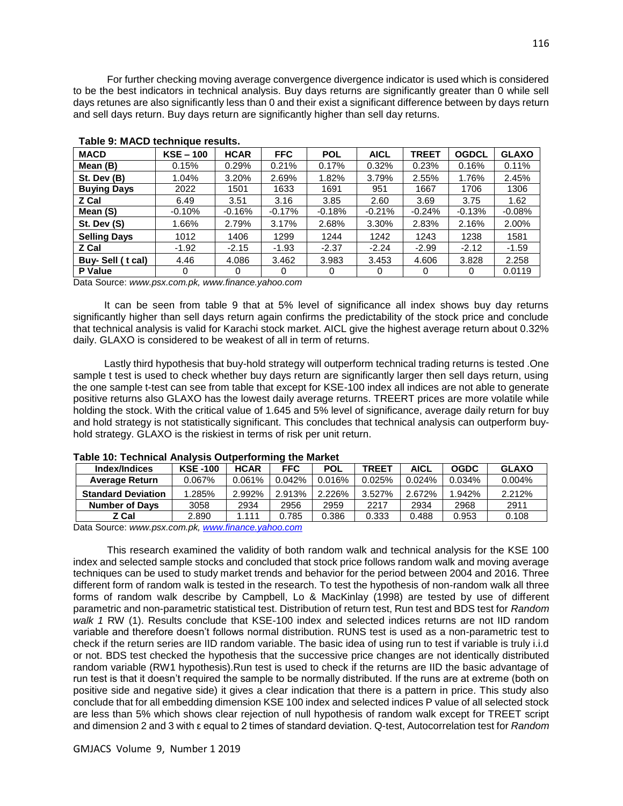For further checking moving average convergence divergence indicator is used which is considered to be the best indicators in technical analysis. Buy days returns are significantly greater than 0 while sell days retunes are also significantly less than 0 and their exist a significant difference between by days return and sell days return. Buy days return are significantly higher than sell day returns.

| <b>MACD</b>         | $KSE - 100$ | <b>HCAR</b> | <b>FFC</b> | <b>POL</b> | <b>AICL</b> | <b>TREET</b> | <b>OGDCL</b> | <b>GLAXO</b> |
|---------------------|-------------|-------------|------------|------------|-------------|--------------|--------------|--------------|
| Mean (B)            | 0.15%       | 0.29%       | 0.21%      | 0.17%      | 0.32%       | 0.23%        | 0.16%        | 0.11%        |
| St. Dev (B)         | 1.04%       | 3.20%       | 2.69%      | 1.82%      | 3.79%       | 2.55%        | 1.76%        | 2.45%        |
| <b>Buying Days</b>  | 2022        | 1501        | 1633       | 1691       | 951         | 1667         | 1706         | 1306         |
| Z Cal               | 6.49        | 3.51        | 3.16       | 3.85       | 2.60        | 3.69         | 3.75         | 1.62         |
| Mean (S)            | $-0.10%$    | $-0.16%$    | $-0.17%$   | $-0.18%$   | $-0.21%$    | $-0.24%$     | $-0.13%$     | $-0.08%$     |
| St. Dev (S)         | 1.66%       | 2.79%       | 3.17%      | 2.68%      | 3.30%       | 2.83%        | 2.16%        | 2.00%        |
| <b>Selling Days</b> | 1012        | 1406        | 1299       | 1244       | 1242        | 1243         | 1238         | 1581         |
| Z Cal               | $-1.92$     | $-2.15$     | $-1.93$    | $-2.37$    | $-2.24$     | $-2.99$      | $-2.12$      | $-1.59$      |
| Buy-Sell (t cal)    | 4.46        | 4.086       | 3.462      | 3.983      | 3.453       | 4.606        | 3.828        | 2.258        |
| <b>P</b> Value      | 0           | 0           | 0          | 0          | 0           | 0            | 0            | 0.0119       |

### **Table 9: MACD technique results.**

Data Source: *www.psx.com.pk, www.finance.yahoo.com*

 It can be seen from table 9 that at 5% level of significance all index shows buy day returns significantly higher than sell days return again confirms the predictability of the stock price and conclude that technical analysis is valid for Karachi stock market. AICL give the highest average return about 0.32% daily. GLAXO is considered to be weakest of all in term of returns.

 Lastly third hypothesis that buy-hold strategy will outperform technical trading returns is tested .One sample t test is used to check whether buy days return are significantly larger then sell days return, using the one sample t-test can see from table that except for KSE-100 index all indices are not able to generate positive returns also GLAXO has the lowest daily average returns. TREERT prices are more volatile while holding the stock. With the critical value of 1.645 and 5% level of significance, average daily return for buy and hold strategy is not statistically significant. This concludes that technical analysis can outperform buyhold strategy. GLAXO is the riskiest in terms of risk per unit return.

| Index/Indices             | <b>KSE-100</b> | <b>HCAR</b> | <b>FFC</b> | <b>POL</b> | <b>TREET</b> | <b>AICL</b> | <b>OGDC</b> | <b>GLAXO</b> |
|---------------------------|----------------|-------------|------------|------------|--------------|-------------|-------------|--------------|
| <b>Average Return</b>     | 0.067%         | 0.061%      | 0.042%     | 0.016%     | 0.025%       | 0.024%      | 0.034%      | 0.004%       |
| <b>Standard Deviation</b> | 1.285%         | 2.992%      | 2.913%     | 2.226%     | 3.527%       | 2.672%      | 1.942%      | 2.212%       |
| <b>Number of Davs</b>     | 3058           | 2934        | 2956       | 2959       | 2217         | 2934        | 2968        | 2911         |
| Z Cal                     | 2.890          | 1.111       | 0.785      | 0.386      | 0.333        | 0.488       | 0.953       | 0.108        |

#### **Table 10: Technical Analysis Outperforming the Market**

Data Source: *www.psx.com.pk[, www.finance.yahoo.com](http://www.finance.yahoo.com/)*

 This research examined the validity of both random walk and technical analysis for the KSE 100 index and selected sample stocks and concluded that stock price follows random walk and moving average techniques can be used to study market trends and behavior for the period between 2004 and 2016. Three different form of random walk is tested in the research. To test the hypothesis of non-random walk all three forms of random walk describe by Campbell, Lo & MacKinlay (1998) are tested by use of different parametric and non-parametric statistical test. Distribution of return test, Run test and BDS test for *Random walk 1* RW (1). Results conclude that KSE-100 index and selected indices returns are not IID random variable and therefore doesn't follows normal distribution. RUNS test is used as a non-parametric test to check if the return series are IID random variable. The basic idea of using run to test if variable is truly i.i.d or not. BDS test checked the hypothesis that the successive price changes are not identically distributed random variable (RW1 hypothesis).Run test is used to check if the returns are IID the basic advantage of run test is that it doesn't required the sample to be normally distributed. If the runs are at extreme (both on positive side and negative side) it gives a clear indication that there is a pattern in price. This study also conclude that for all embedding dimension KSE 100 index and selected indices P value of all selected stock are less than 5% which shows clear rejection of null hypothesis of random walk except for TREET script and dimension 2 and 3 with ε equal to 2 times of standard deviation. Q-test, Autocorrelation test for *Random*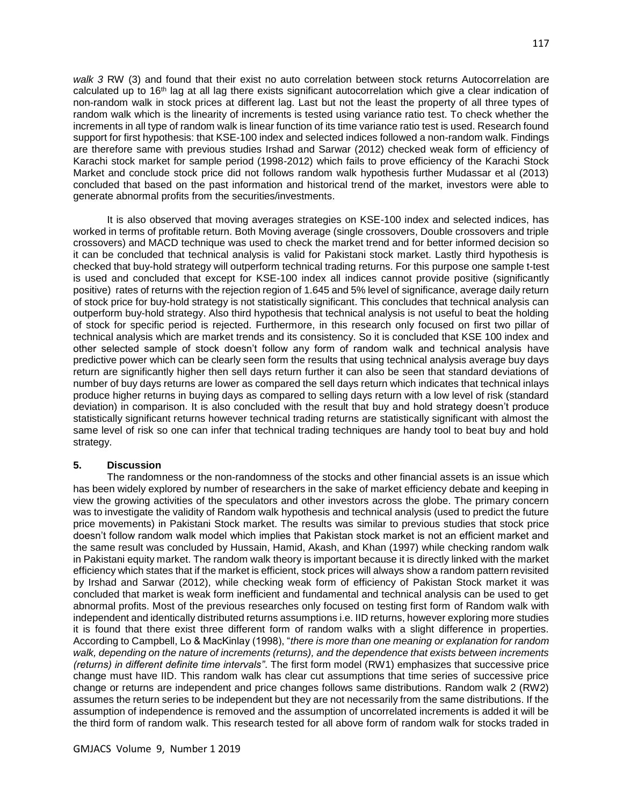*walk 3* RW (3) and found that their exist no auto correlation between stock returns Autocorrelation are calculated up to 16th lag at all lag there exists significant autocorrelation which give a clear indication of non-random walk in stock prices at different lag. Last but not the least the property of all three types of random walk which is the linearity of increments is tested using variance ratio test. To check whether the increments in all type of random walk is linear function of its time variance ratio test is used. Research found support for first hypothesis: that KSE-100 index and selected indices followed a non-random walk. Findings are therefore same with previous studies Irshad and Sarwar (2012) checked weak form of efficiency of Karachi stock market for sample period (1998-2012) which fails to prove efficiency of the Karachi Stock Market and conclude stock price did not follows random walk hypothesis further Mudassar et al (2013) concluded that based on the past information and historical trend of the market, investors were able to generate abnormal profits from the securities/investments.

 It is also observed that moving averages strategies on KSE-100 index and selected indices, has worked in terms of profitable return. Both Moving average (single crossovers, Double crossovers and triple crossovers) and MACD technique was used to check the market trend and for better informed decision so it can be concluded that technical analysis is valid for Pakistani stock market. Lastly third hypothesis is checked that buy-hold strategy will outperform technical trading returns. For this purpose one sample t-test is used and concluded that except for KSE-100 index all indices cannot provide positive (significantly positive) rates of returns with the rejection region of 1.645 and 5% level of significance, average daily return of stock price for buy-hold strategy is not statistically significant. This concludes that technical analysis can outperform buy-hold strategy. Also third hypothesis that technical analysis is not useful to beat the holding of stock for specific period is rejected. Furthermore, in this research only focused on first two pillar of technical analysis which are market trends and its consistency. So it is concluded that KSE 100 index and other selected sample of stock doesn't follow any form of random walk and technical analysis have predictive power which can be clearly seen form the results that using technical analysis average buy days return are significantly higher then sell days return further it can also be seen that standard deviations of number of buy days returns are lower as compared the sell days return which indicates that technical inlays produce higher returns in buying days as compared to selling days return with a low level of risk (standard deviation) in comparison. It is also concluded with the result that buy and hold strategy doesn't produce statistically significant returns however technical trading returns are statistically significant with almost the same level of risk so one can infer that technical trading techniques are handy tool to beat buy and hold strategy.

## **5. Discussion**

 The randomness or the non-randomness of the stocks and other financial assets is an issue which has been widely explored by number of researchers in the sake of market efficiency debate and keeping in view the growing activities of the speculators and other investors across the globe. The primary concern was to investigate the validity of Random walk hypothesis and technical analysis (used to predict the future price movements) in Pakistani Stock market. The results was similar to previous studies that stock price doesn't follow random walk model which implies that Pakistan stock market is not an efficient market and the same result was concluded by Hussain, Hamid, Akash, and Khan (1997) while checking random walk in Pakistani equity market. The random walk theory is important because it is directly linked with the market efficiency which states that if the market is efficient, stock prices will always show a random pattern revisited by Irshad and Sarwar (2012), while checking weak form of efficiency of Pakistan Stock market it was concluded that market is weak form inefficient and fundamental and technical analysis can be used to get abnormal profits. Most of the previous researches only focused on testing first form of Random walk with independent and identically distributed returns assumptions i.e. IID returns, however exploring more studies it is found that there exist three different form of random walks with a slight difference in properties. According to Campbell, Lo & MacKinlay (1998), "*there is more than one meaning or explanation for random walk, depending on the nature of increments (returns), and the dependence that exists between increments (returns) in different definite time intervals"*. The first form model (RW1) emphasizes that successive price change must have IID. This random walk has clear cut assumptions that time series of successive price change or returns are independent and price changes follows same distributions. Random walk 2 (RW2) assumes the return series to be independent but they are not necessarily from the same distributions. If the assumption of independence is removed and the assumption of uncorrelated increments is added it will be the third form of random walk. This research tested for all above form of random walk for stocks traded in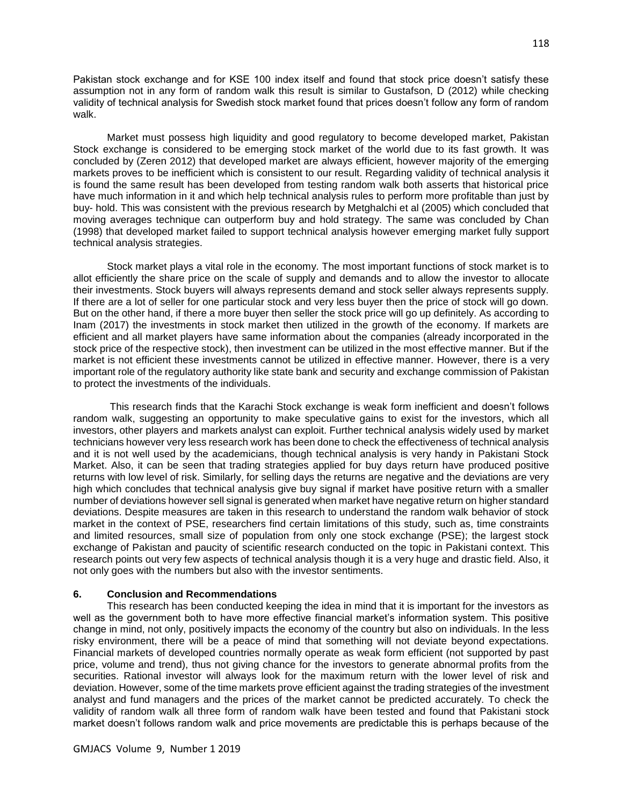Pakistan stock exchange and for KSE 100 index itself and found that stock price doesn't satisfy these assumption not in any form of random walk this result is similar to Gustafson, D (2012) while checking validity of technical analysis for Swedish stock market found that prices doesn't follow any form of random walk.

 Market must possess high liquidity and good regulatory to become developed market, Pakistan Stock exchange is considered to be emerging stock market of the world due to its fast growth. It was concluded by (Zeren 2012) that developed market are always efficient, however majority of the emerging markets proves to be inefficient which is consistent to our result. Regarding validity of technical analysis it is found the same result has been developed from testing random walk both asserts that historical price have much information in it and which help technical analysis rules to perform more profitable than just by buy- hold. This was consistent with the previous research by Metghalchi et al (2005) which concluded that moving averages technique can outperform buy and hold strategy. The same was concluded by Chan (1998) that developed market failed to support technical analysis however emerging market fully support technical analysis strategies.

 Stock market plays a vital role in the economy. The most important functions of stock market is to allot efficiently the share price on the scale of supply and demands and to allow the investor to allocate their investments. Stock buyers will always represents demand and stock seller always represents supply. If there are a lot of seller for one particular stock and very less buyer then the price of stock will go down. But on the other hand, if there a more buyer then seller the stock price will go up definitely. As according to Inam (2017) the investments in stock market then utilized in the growth of the economy. If markets are efficient and all market players have same information about the companies (already incorporated in the stock price of the respective stock), then investment can be utilized in the most effective manner. But if the market is not efficient these investments cannot be utilized in effective manner. However, there is a very important role of the regulatory authority like state bank and security and exchange commission of Pakistan to protect the investments of the individuals.

 This research finds that the Karachi Stock exchange is weak form inefficient and doesn't follows random walk, suggesting an opportunity to make speculative gains to exist for the investors, which all investors, other players and markets analyst can exploit. Further technical analysis widely used by market technicians however very less research work has been done to check the effectiveness of technical analysis and it is not well used by the academicians, though technical analysis is very handy in Pakistani Stock Market. Also, it can be seen that trading strategies applied for buy days return have produced positive returns with low level of risk. Similarly, for selling days the returns are negative and the deviations are very high which concludes that technical analysis give buy signal if market have positive return with a smaller number of deviations however sell signal is generated when market have negative return on higher standard deviations. Despite measures are taken in this research to understand the random walk behavior of stock market in the context of PSE, researchers find certain limitations of this study, such as, time constraints and limited resources, small size of population from only one stock exchange (PSE); the largest stock exchange of Pakistan and paucity of scientific research conducted on the topic in Pakistani context. This research points out very few aspects of technical analysis though it is a very huge and drastic field. Also, it not only goes with the numbers but also with the investor sentiments.

#### **6. Conclusion and Recommendations**

 This research has been conducted keeping the idea in mind that it is important for the investors as well as the government both to have more effective financial market's information system. This positive change in mind, not only, positively impacts the economy of the country but also on individuals. In the less risky environment, there will be a peace of mind that something will not deviate beyond expectations. Financial markets of developed countries normally operate as weak form efficient (not supported by past price, volume and trend), thus not giving chance for the investors to generate abnormal profits from the securities. Rational investor will always look for the maximum return with the lower level of risk and deviation. However, some of the time markets prove efficient against the trading strategies of the investment analyst and fund managers and the prices of the market cannot be predicted accurately. To check the validity of random walk all three form of random walk have been tested and found that Pakistani stock market doesn't follows random walk and price movements are predictable this is perhaps because of the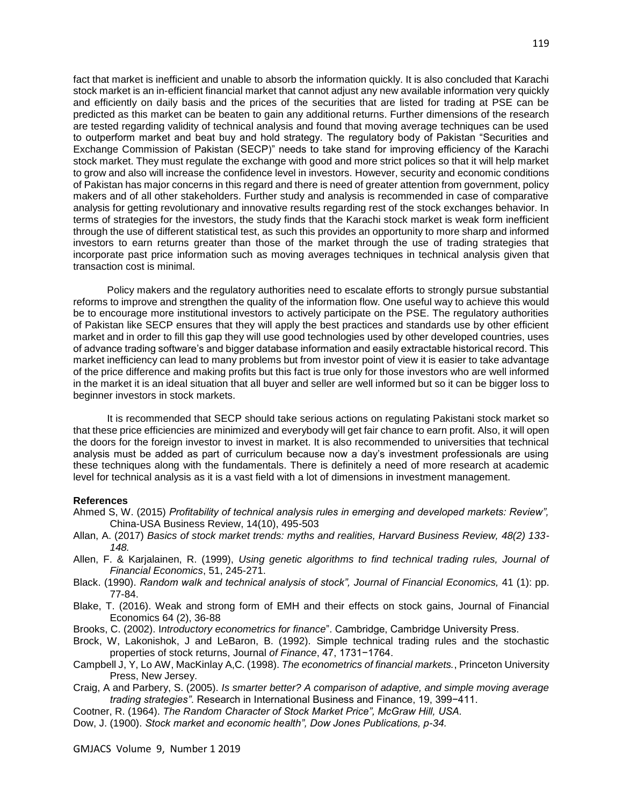fact that market is inefficient and unable to absorb the information quickly. It is also concluded that Karachi stock market is an in-efficient financial market that cannot adjust any new available information very quickly and efficiently on daily basis and the prices of the securities that are listed for trading at PSE can be predicted as this market can be beaten to gain any additional returns. Further dimensions of the research are tested regarding validity of technical analysis and found that moving average techniques can be used to outperform market and beat buy and hold strategy. The regulatory body of Pakistan "Securities and Exchange Commission of Pakistan (SECP)" needs to take stand for improving efficiency of the Karachi stock market. They must regulate the exchange with good and more strict polices so that it will help market to grow and also will increase the confidence level in investors. However, security and economic conditions of Pakistan has major concerns in this regard and there is need of greater attention from government, policy makers and of all other stakeholders. Further study and analysis is recommended in case of comparative analysis for getting revolutionary and innovative results regarding rest of the stock exchanges behavior. In terms of strategies for the investors, the study finds that the Karachi stock market is weak form inefficient through the use of different statistical test, as such this provides an opportunity to more sharp and informed investors to earn returns greater than those of the market through the use of trading strategies that incorporate past price information such as moving averages techniques in technical analysis given that transaction cost is minimal.

 Policy makers and the regulatory authorities need to escalate efforts to strongly pursue substantial reforms to improve and strengthen the quality of the information flow. One useful way to achieve this would be to encourage more institutional investors to actively participate on the PSE. The regulatory authorities of Pakistan like SECP ensures that they will apply the best practices and standards use by other efficient market and in order to fill this gap they will use good technologies used by other developed countries, uses of advance trading software's and bigger database information and easily extractable historical record. This market inefficiency can lead to many problems but from investor point of view it is easier to take advantage of the price difference and making profits but this fact is true only for those investors who are well informed in the market it is an ideal situation that all buyer and seller are well informed but so it can be bigger loss to beginner investors in stock markets.

 It is recommended that SECP should take serious actions on regulating Pakistani stock market so that these price efficiencies are minimized and everybody will get fair chance to earn profit. Also, it will open the doors for the foreign investor to invest in market. It is also recommended to universities that technical analysis must be added as part of curriculum because now a day's investment professionals are using these techniques along with the fundamentals. There is definitely a need of more research at academic level for technical analysis as it is a vast field with a lot of dimensions in investment management.

#### **References**

- Ahmed S, W. (2015) *Profitability of technical analysis rules in emerging and developed markets: Review",*  China-USA Business Review, 14(10), 495-503
- Allan, A. (2017) *Basics of stock market trends: myths and realities, Harvard Business Review, 48(2) 133- 148.*
- Allen, F. & Karjalainen, R. (1999), *Using genetic algorithms to find technical trading rules, Journal of Financial Economics*, 51, 245-271.
- Black. (1990). *Random walk and technical analysis of stock", Journal of Financial Economics,* 41 (1): pp. 77-84.
- Blake, T. (2016). Weak and strong form of EMH and their effects on stock gains, Journal of Financial Economics 64 (2), 36-88
- Brooks, C. (2002). I*ntroductory econometrics for finance*". Cambridge, Cambridge University Press.
- Brock, W, Lakonishok, J and LeBaron, B. (1992). Simple technical trading rules and the stochastic properties of stock returns, Journal *of Finance*, 47, 1731−1764.
- Campbell J, Y, Lo AW, MacKinlay A,C. (1998). *The econometrics of financial markets.*, Princeton University Press, New Jersey.
- Craig, A and Parbery, S. (2005). *Is smarter better? A comparison of adaptive, and simple moving average trading strategies"*. Research in International Business and Finance, 19, 399−411.
- Cootner, R. (1964). *The Random Character of Stock Market Price", McGraw Hill, USA.*
- Dow, J. (1900). *Stock market and economic health", Dow Jones Publications, p-34.*